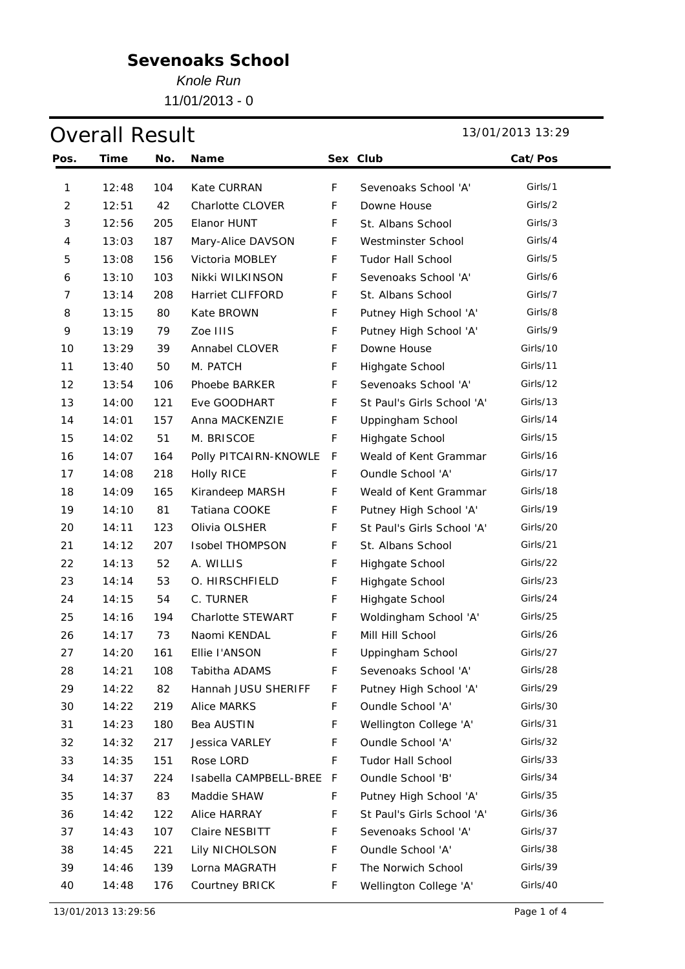*Knole Run*

11/01/2013 - 0

## Overall Result 13/01/2013 13:29

| Pos.                     | <b>Time</b> | No. | <b>Name</b>             |             | Sex Club                   | Cat/Pos  |
|--------------------------|-------------|-----|-------------------------|-------------|----------------------------|----------|
| 1                        | 12:48       | 104 | Kate CURRAN             | $\mathsf F$ | Sevenoaks School 'A'       | Girls/1  |
| $\overline{2}$           | 12:51       | 42  | <b>Charlotte CLOVER</b> | F           | Downe House                | Girls/2  |
| 3                        | 12:56       | 205 | Elanor HUNT             | F           | St. Albans School          | Girls/3  |
| $\overline{\mathcal{A}}$ | 13:03       | 187 | Mary-Alice DAVSON       | F           | Westminster School         | Girls/4  |
| 5                        | 13:08       | 156 | Victoria MOBLEY         | F           | <b>Tudor Hall School</b>   | Girls/5  |
| 6                        | 13:10       | 103 | Nikki WILKINSON         | F           | Sevenoaks School 'A'       | Girls/6  |
| 7                        | 13:14       | 208 | <b>Harriet CLIFFORD</b> | F           | St. Albans School          | Girls/7  |
| 8                        | 13:15       | 80  | Kate BROWN              | F           | Putney High School 'A'     | Girls/8  |
| 9                        | 13:19       | 79  | Zoe IIIS                | F           | Putney High School 'A'     | Girls/9  |
| 10                       | 13:29       | 39  | Annabel CLOVER          | F           | Downe House                | Girls/10 |
| 11                       | 13:40       | 50  | M. PATCH                | F           | Highgate School            | Girls/11 |
| 12                       | 13:54       | 106 | Phoebe BARKER           | F           | Sevenoaks School 'A'       | Girls/12 |
| 13                       | 14:00       | 121 | Eve GOODHART            | F           | St Paul's Girls School 'A' | Girls/13 |
| 14                       | 14:01       | 157 | Anna MACKENZIE          | F           | Uppingham School           | Girls/14 |
| 15                       | 14:02       | 51  | M. BRISCOE              | F           | Highgate School            | Girls/15 |
| 16                       | 14:07       | 164 | Polly PITCAIRN-KNOWLE   | F           | Weald of Kent Grammar      | Girls/16 |
| 17                       | 14:08       | 218 | <b>Holly RICE</b>       | F           | Oundle School 'A'          | Girls/17 |
| 18                       | 14:09       | 165 | Kirandeep MARSH         | F           | Weald of Kent Grammar      | Girls/18 |
| 19                       | 14:10       | 81  | Tatiana COOKE           | F           | Putney High School 'A'     | Girls/19 |
| 20                       | 14:11       | 123 | Olivia OLSHER           | F           | St Paul's Girls School 'A' | Girls/20 |
| 21                       | 14:12       | 207 | <b>Isobel THOMPSON</b>  | F           | St. Albans School          | Girls/21 |
| 22                       | 14:13       | 52  | A. WILLIS               | F           | Highgate School            | Girls/22 |
| 23                       | 14:14       | 53  | O. HIRSCHFIELD          | F           | Highgate School            | Girls/23 |
| 24                       | 14:15       | 54  | C. TURNER               | F           | Highgate School            | Girls/24 |
| 25                       | 14:16       | 194 | Charlotte STEWART       | F           | Woldingham School 'A'      | Girls/25 |
| 26                       | 14:17       | 73  | Naomi KENDAL            | F           | Mill Hill School           | Girls/26 |
| 27                       | 14:20       | 161 | Ellie l'ANSON           | F           | Uppingham School           | Girls/27 |
| 28                       | 14:21       | 108 | Tabitha ADAMS           | F           | Sevenoaks School 'A'       | Girls/28 |
| 29                       | 14:22       | 82  | Hannah JUSU SHERIFF     | F           | Putney High School 'A'     | Girls/29 |
| 30                       | 14:22       | 219 | Alice MARKS             | F           | Oundle School 'A'          | Girls/30 |
| 31                       | 14:23       | 180 | Bea AUSTIN              | F           | Wellington College 'A'     | Girls/31 |
| 32                       | 14:32       | 217 | Jessica VARLEY          | F           | Oundle School 'A'          | Girls/32 |
| 33                       | 14:35       | 151 | Rose LORD               | F           | <b>Tudor Hall School</b>   | Girls/33 |
| 34                       | 14:37       | 224 | Isabella CAMPBELL-BREE  | - F         | Oundle School 'B'          | Girls/34 |
| 35                       | 14:37       | 83  | Maddie SHAW             | F           | Putney High School 'A'     | Girls/35 |
| 36                       | 14:42       | 122 | Alice HARRAY            | F           | St Paul's Girls School 'A' | Girls/36 |
| 37                       | 14:43       | 107 | Claire NESBITT          | F           | Sevenoaks School 'A'       | Girls/37 |
| 38                       | 14:45       | 221 | Lily NICHOLSON          | F           | Oundle School 'A'          | Girls/38 |
| 39                       | 14:46       | 139 | Lorna MAGRATH           | F           | The Norwich School         | Girls/39 |
| 40                       | 14:48       | 176 | Courtney BRICK          | F           | Wellington College 'A'     | Girls/40 |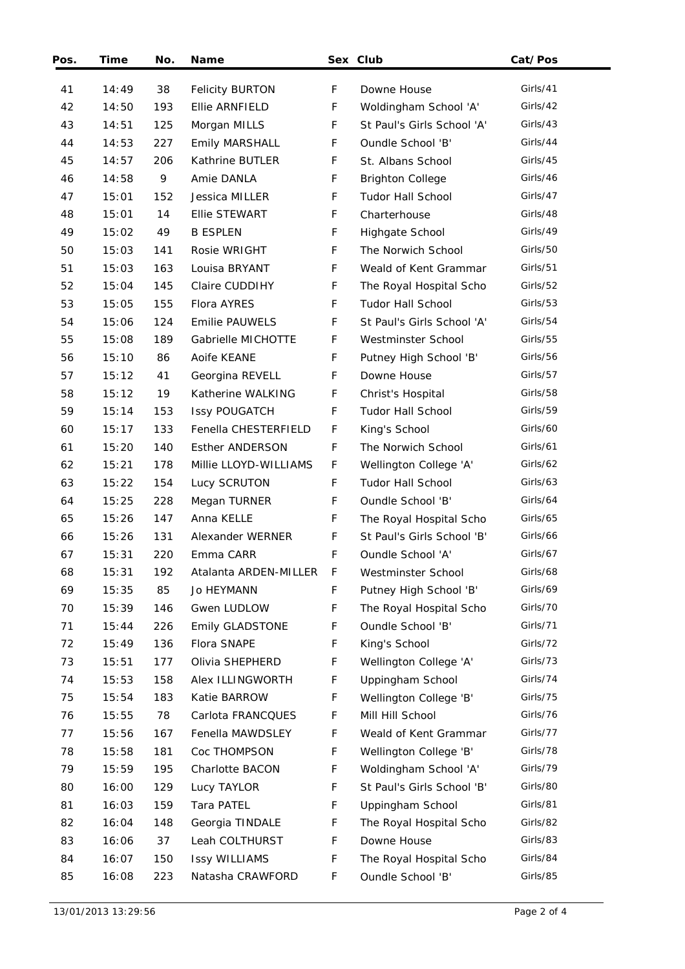| Pos. | Time  | No. | <b>Name</b>            |   | Sex Club                   | Cat/Pos  |
|------|-------|-----|------------------------|---|----------------------------|----------|
| 41   | 14:49 | 38  | <b>Felicity BURTON</b> | F | Downe House                | Girls/41 |
| 42   | 14:50 | 193 | Ellie ARNFIELD         | F | Woldingham School 'A'      | Girls/42 |
| 43   | 14:51 | 125 | Morgan MILLS           | F | St Paul's Girls School 'A' | Girls/43 |
| 44   | 14:53 | 227 | Emily MARSHALL         | F | Oundle School 'B'          | Girls/44 |
| 45   | 14:57 | 206 | Kathrine BUTLER        | F | St. Albans School          | Girls/45 |
| 46   | 14:58 | 9   | Amie DANLA             | F | <b>Brighton College</b>    | Girls/46 |
| 47   | 15:01 | 152 | Jessica MILLER         | F | <b>Tudor Hall School</b>   | Girls/47 |
| 48   | 15:01 | 14  | Ellie STEWART          | F | Charterhouse               | Girls/48 |
| 49   | 15:02 | 49  | <b>B ESPLEN</b>        | F | Highgate School            | Girls/49 |
| 50   | 15:03 | 141 | Rosie WRIGHT           | F | The Norwich School         | Girls/50 |
| 51   | 15:03 | 163 | Louisa BRYANT          | F | Weald of Kent Grammar      | Girls/51 |
| 52   | 15:04 | 145 | Claire CUDDIHY         | F | The Royal Hospital Scho    | Girls/52 |
| 53   | 15:05 | 155 | Flora AYRES            | F | <b>Tudor Hall School</b>   | Girls/53 |
| 54   | 15:06 | 124 | <b>Emilie PAUWELS</b>  | F | St Paul's Girls School 'A' | Girls/54 |
| 55   | 15:08 | 189 | Gabrielle MICHOTTE     | F | Westminster School         | Girls/55 |
| 56   | 15:10 | 86  | Aoife KEANE            | F | Putney High School 'B'     | Girls/56 |
| 57   | 15:12 | 41  | Georgina REVELL        | F | Downe House                | Girls/57 |
| 58   | 15:12 | 19  | Katherine WALKING      | F | Christ's Hospital          | Girls/58 |
| 59   | 15:14 | 153 | <b>Issy POUGATCH</b>   | F | <b>Tudor Hall School</b>   | Girls/59 |
| 60   | 15:17 | 133 | Fenella CHESTERFIELD   | F | King's School              | Girls/60 |
| 61   | 15:20 | 140 | <b>Esther ANDERSON</b> | F | The Norwich School         | Girls/61 |
| 62   | 15:21 | 178 | Millie LLOYD-WILLIAMS  | F | Wellington College 'A'     | Girls/62 |
| 63   | 15:22 | 154 | Lucy SCRUTON           | F | <b>Tudor Hall School</b>   | Girls/63 |
| 64   | 15:25 | 228 | Megan TURNER           | F | Oundle School 'B'          | Girls/64 |
| 65   | 15:26 | 147 | Anna KELLE             | F | The Royal Hospital Scho    | Girls/65 |
| 66   | 15:26 | 131 | Alexander WERNER       | F | St Paul's Girls School 'B' | Girls/66 |
| 67   | 15:31 | 220 | Emma CARR              | F | Oundle School 'A'          | Girls/67 |
| 68   | 15:31 | 192 | Atalanta ARDEN-MILLER  | F | Westminster School         | Girls/68 |
| 69   | 15:35 | 85  | Jo HEYMANN             | F | Putney High School 'B'     | Girls/69 |
| 70   | 15:39 | 146 | Gwen LUDLOW            | F | The Royal Hospital Scho    | Girls/70 |
| 71   | 15:44 | 226 | <b>Emily GLADSTONE</b> | F | Oundle School 'B'          | Girls/71 |
| 72   | 15:49 | 136 | Flora SNAPE            | F | King's School              | Girls/72 |
| 73   | 15:51 | 177 | Olivia SHEPHERD        | F | Wellington College 'A'     | Girls/73 |
| 74   | 15:53 | 158 | Alex ILLINGWORTH       | F | Uppingham School           | Girls/74 |
| 75   | 15:54 | 183 | Katie BARROW           | F | Wellington College 'B'     | Girls/75 |
| 76   | 15:55 | 78  | Carlota FRANCQUES      | F | Mill Hill School           | Girls/76 |
| 77   | 15:56 | 167 | Fenella MAWDSLEY       | F | Weald of Kent Grammar      | Girls/77 |
| 78   | 15:58 | 181 | Coc THOMPSON           | F | Wellington College 'B'     | Girls/78 |
| 79   | 15:59 | 195 | Charlotte BACON        | F | Woldingham School 'A'      | Girls/79 |
| 80   | 16:00 | 129 | Lucy TAYLOR            | F | St Paul's Girls School 'B' | Girls/80 |
| 81   | 16:03 | 159 | Tara PATEL             | F | Uppingham School           | Girls/81 |
| 82   | 16:04 | 148 | Georgia TINDALE        | F | The Royal Hospital Scho    | Girls/82 |
| 83   | 16:06 | 37  | Leah COLTHURST         | F | Downe House                | Girls/83 |
| 84   | 16:07 | 150 | <b>Issy WILLIAMS</b>   | F | The Royal Hospital Scho    | Girls/84 |
| 85   | 16:08 | 223 | Natasha CRAWFORD       | F | Oundle School 'B'          | Girls/85 |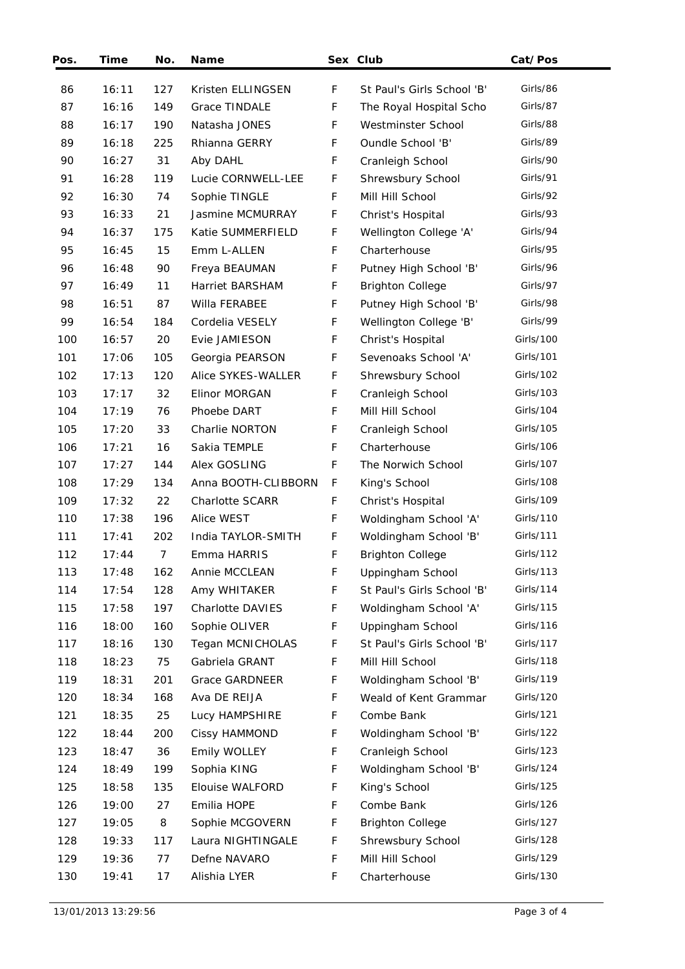| Pos. | <b>Time</b> | No.            | Name                   |             | Sex Club                   | Cat/Pos   |
|------|-------------|----------------|------------------------|-------------|----------------------------|-----------|
| 86   | 16:11       | 127            | Kristen ELLINGSEN      | F           | St Paul's Girls School 'B' | Girls/86  |
| 87   | 16:16       | 149            | Grace TINDALE          | F           | The Royal Hospital Scho    | Girls/87  |
| 88   | 16:17       | 190            | Natasha JONES          | F           | Westminster School         | Girls/88  |
| 89   | 16:18       | 225            | Rhianna GERRY          | F           | Oundle School 'B'          | Girls/89  |
| 90   | 16:27       | 31             | Aby DAHL               | F           | Cranleigh School           | Girls/90  |
| 91   | 16:28       | 119            | Lucie CORNWELL-LEE     | F           | Shrewsbury School          | Girls/91  |
| 92   | 16:30       | 74             | Sophie TINGLE          | $\mathsf F$ | Mill Hill School           | Girls/92  |
| 93   | 16:33       | 21             | Jasmine MCMURRAY       | F           | Christ's Hospital          | Girls/93  |
| 94   | 16:37       | 175            | Katie SUMMERFIELD      | F           | Wellington College 'A'     | Girls/94  |
| 95   | 16:45       | 15             | Emm L-ALLEN            | F           | Charterhouse               | Girls/95  |
| 96   | 16:48       | 90             | Freya BEAUMAN          | F           | Putney High School 'B'     | Girls/96  |
| 97   | 16:49       | 11             | Harriet BARSHAM        | F           | <b>Brighton College</b>    | Girls/97  |
| 98   | 16:51       | 87             | Willa FERABEE          | F           | Putney High School 'B'     | Girls/98  |
| 99   | 16:54       | 184            | Cordelia VESELY        | F           | Wellington College 'B'     | Girls/99  |
| 100  | 16:57       | 20             | Evie JAMIESON          | F           | Christ's Hospital          | Girls/100 |
| 101  | 17:06       | 105            | Georgia PEARSON        | F           | Sevenoaks School 'A'       | Girls/101 |
| 102  | 17:13       | 120            | Alice SYKES-WALLER     | F           | Shrewsbury School          | Girls/102 |
| 103  | 17:17       | 32             | Elinor MORGAN          | F           | Cranleigh School           | Girls/103 |
| 104  | 17:19       | 76             | Phoebe DART            | F           | Mill Hill School           | Girls/104 |
| 105  | 17:20       | 33             | Charlie NORTON         | F           | Cranleigh School           | Girls/105 |
| 106  | 17:21       | 16             | Sakia TEMPLE           | F           | Charterhouse               | Girls/106 |
| 107  | 17:27       | 144            | Alex GOSLING           | $\mathsf F$ | The Norwich School         | Girls/107 |
| 108  | 17:29       | 134            | Anna BOOTH-CLIBBORN    | F           | King's School              | Girls/108 |
| 109  | 17:32       | 22             | <b>Charlotte SCARR</b> | F           | Christ's Hospital          | Girls/109 |
| 110  | 17:38       | 196            | Alice WEST             | F           | Woldingham School 'A'      | Girls/110 |
| 111  | 17:41       | 202            | India TAYLOR-SMITH     | F           | Woldingham School 'B'      | Girls/111 |
| 112  | 17:44       | $\overline{7}$ | Emma HARRIS            | F           | <b>Brighton College</b>    | Girls/112 |
| 113  | 17:48       | 162            | Annie MCCLEAN          | F           | Uppingham School           | Girls/113 |
| 114  | 17:54       | 128            | Amy WHITAKER           | F           | St Paul's Girls School 'B' | Girls/114 |
| 115  | 17:58       | 197            | Charlotte DAVIES       | F           | Woldingham School 'A'      | Girls/115 |
| 116  | 18:00       | 160            | Sophie OLIVER          | F           | Uppingham School           | Girls/116 |
| 117  | 18:16       | 130            | Tegan MCNICHOLAS       | F           | St Paul's Girls School 'B' | Girls/117 |
| 118  | 18:23       | 75             | Gabriela GRANT         | F           | Mill Hill School           | Girls/118 |
| 119  | 18:31       | 201            | <b>Grace GARDNEER</b>  | F           | Woldingham School 'B'      | Girls/119 |
| 120  | 18:34       | 168            | Ava DE REIJA           | F           | Weald of Kent Grammar      | Girls/120 |
| 121  | 18:35       | 25             | Lucy HAMPSHIRE         | F           | Combe Bank                 | Girls/121 |
| 122  | 18:44       | 200            | Cissy HAMMOND          | F           | Woldingham School 'B'      | Girls/122 |
| 123  | 18:47       | 36             | Emily WOLLEY           | F           | Cranleigh School           | Girls/123 |
| 124  | 18:49       | 199            | Sophia KING            | F           | Woldingham School 'B'      | Girls/124 |
| 125  | 18:58       | 135            | Elouise WALFORD        | F           | King's School              | Girls/125 |
| 126  | 19:00       | 27             | Emilia HOPE            | F           | Combe Bank                 | Girls/126 |
| 127  | 19:05       | 8              | Sophie MCGOVERN        | F           | <b>Brighton College</b>    | Girls/127 |
| 128  | 19:33       | 117            | Laura NIGHTINGALE      | F           | Shrewsbury School          | Girls/128 |
| 129  | 19:36       | 77             | Defne NAVARO           | F           | Mill Hill School           | Girls/129 |
| 130  | 19:41       | 17             | Alishia LYER           | F           | Charterhouse               | Girls/130 |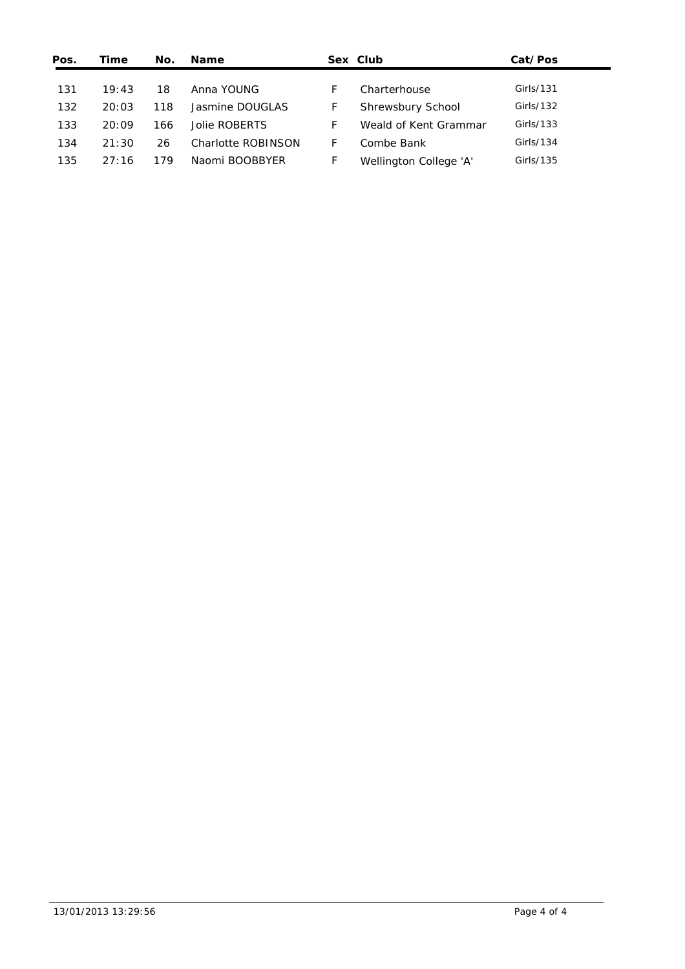| Pos. | Time  | No. | <b>Name</b>        |   | Sex Club               | Cat/Pos   |
|------|-------|-----|--------------------|---|------------------------|-----------|
|      |       |     |                    |   |                        |           |
| 131  | 19:43 | 18  | Anna YOUNG         | E | Charterhouse           | Girls/131 |
| 132  | 20:03 | 118 | Jasmine DOUGLAS    | F | Shrewsbury School      | Girls/132 |
| 133  | 20:09 | 166 | Jolie ROBERTS      | F | Weald of Kent Grammar  | Girls/133 |
| 134  | 21:30 | 26  | Charlotte ROBINSON | F | Combe Bank             | Girls/134 |
| 135  | 27:16 | 179 | Naomi BOOBBYER     | F | Wellington College 'A' | Girls/135 |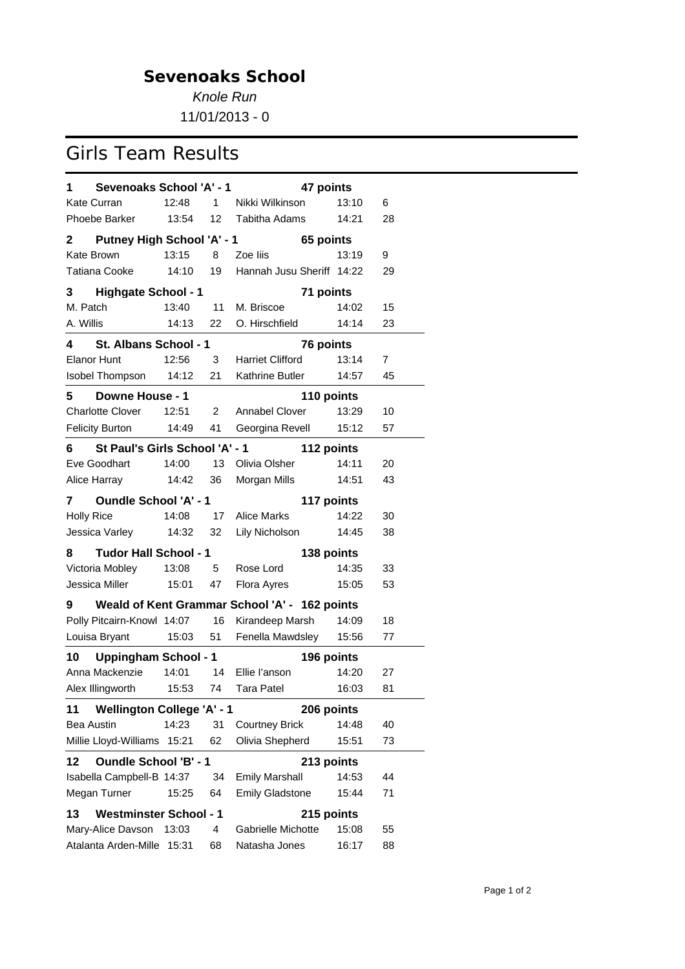*Knole Run*

11/01/2013 - 0

## Girls Team Results

| Sevenoaks School 'A' - 1<br>1                     |       |                | 47 points                                     |       |    |  |  |  |  |
|---------------------------------------------------|-------|----------------|-----------------------------------------------|-------|----|--|--|--|--|
| Kate Curran                                       | 12:48 | 1              | Nikki Wilkinson                               | 13:10 | 6  |  |  |  |  |
| Phoebe Barker                                     | 13:54 | 12             | <b>Tabitha Adams</b>                          | 14:21 | 28 |  |  |  |  |
| 2 Putney High School 'A' - 1                      |       |                | 65 points                                     |       |    |  |  |  |  |
| Kate Brown                                        | 13:15 | 8              | Zoe liis                                      | 13:19 | 9  |  |  |  |  |
| Tatiana Cooke                                     | 14:10 | 19             | Hannah Jusu Sheriff 14:22                     |       | 29 |  |  |  |  |
| <b>Highgate School - 1</b><br>3.                  |       |                | 71 points                                     |       |    |  |  |  |  |
| M. Patch                                          | 13:40 | 11             | M. Briscoe                                    | 14:02 | 15 |  |  |  |  |
| A. Willis                                         | 14:13 | 22             | O. Hirschfield                                | 14:14 | 23 |  |  |  |  |
| 4<br>St. Albans School - 1                        |       |                | 76 points                                     |       |    |  |  |  |  |
| Elanor Hunt                                       | 12:56 | 3 <sup>7</sup> | <b>Harriet Clifford</b>                       | 13:14 | 7  |  |  |  |  |
| Isobel Thompson                                   | 14:12 | 21             | Kathrine Butler                               | 14:57 | 45 |  |  |  |  |
| <b>Downe House - 1</b><br>5.                      |       |                | 110 points                                    |       |    |  |  |  |  |
| <b>Charlotte Clover</b>                           | 12:51 | 2              | Annabel Clover                                | 13:29 | 10 |  |  |  |  |
| <b>Felicity Burton</b>                            | 14:49 | 41             | Georgina Revell                               | 15:12 | 57 |  |  |  |  |
| St Paul's Girls School 'A' - 1<br>6.              |       |                | 112 points                                    |       |    |  |  |  |  |
| Eve Goodhart                                      | 14:00 | 13             | Olivia Olsher                                 | 14:11 | 20 |  |  |  |  |
| Alice Harray                                      | 14:42 | 36             | Morgan Mills                                  | 14:51 | 43 |  |  |  |  |
| <b>Oundle School 'A' - 1</b><br>117 points<br>7 — |       |                |                                               |       |    |  |  |  |  |
| <b>Holly Rice</b>                                 | 14:08 | 17             | <b>Alice Marks</b>                            | 14:22 | 30 |  |  |  |  |
| Jessica Varley 14:32                              |       | 32             | Lily Nicholson                                | 14:45 | 38 |  |  |  |  |
| <b>Tudor Hall School - 1</b><br>8                 |       |                | 138 points                                    |       |    |  |  |  |  |
| Victoria Mobley                                   | 13:08 | $5 -$          | Rose Lord                                     | 14:35 | 33 |  |  |  |  |
| Jessica Miller                                    | 15:01 | 47             | Flora Ayres                                   | 15:05 | 53 |  |  |  |  |
| 9                                                 |       |                | Weald of Kent Grammar School 'A' - 162 points |       |    |  |  |  |  |
| Polly Pitcairn-Knowl 14:07                        |       | 16             | Kirandeep Marsh                               | 14:09 | 18 |  |  |  |  |
| Louisa Bryant                                     | 15:03 | 51             | Fenella Mawdsley                              | 15:56 | 77 |  |  |  |  |
| <b>Uppingham School - 1</b><br>10                 |       |                | 196 points                                    |       |    |  |  |  |  |
| Anna Mackenzie                                    | 14:01 | 14             | Ellie l'anson                                 | 14:20 | 27 |  |  |  |  |
| Alex Illingworth                                  | 15:53 | 74             | <b>Tara Patel</b>                             | 16:03 | 81 |  |  |  |  |
| <b>Wellington College 'A' - 1</b><br>11           |       |                | 206 points                                    |       |    |  |  |  |  |
| <b>Bea Austin</b>                                 | 14:23 | 31             | <b>Courtney Brick</b>                         | 14:48 | 40 |  |  |  |  |
| Millie Lloyd-Williams                             | 15:21 | 62             | Olivia Shepherd                               | 15:51 | 73 |  |  |  |  |
| <b>Oundle School 'B' - 1</b><br>12                |       |                | 213 points                                    |       |    |  |  |  |  |
| Isabella Campbell-B 14:37                         |       | 34             | <b>Emily Marshall</b>                         | 14:53 | 44 |  |  |  |  |
| Megan Turner                                      | 15:25 | 64             | <b>Emily Gladstone</b>                        | 15:44 | 71 |  |  |  |  |
| <b>Westminster School - 1</b><br>13               |       |                | 215 points                                    |       |    |  |  |  |  |
| Mary-Alice Davson                                 | 13:03 | 4              | Gabrielle Michotte                            | 15:08 | 55 |  |  |  |  |
| Atalanta Arden-Mille                              | 15:31 | 68             | Natasha Jones                                 | 16:17 | 88 |  |  |  |  |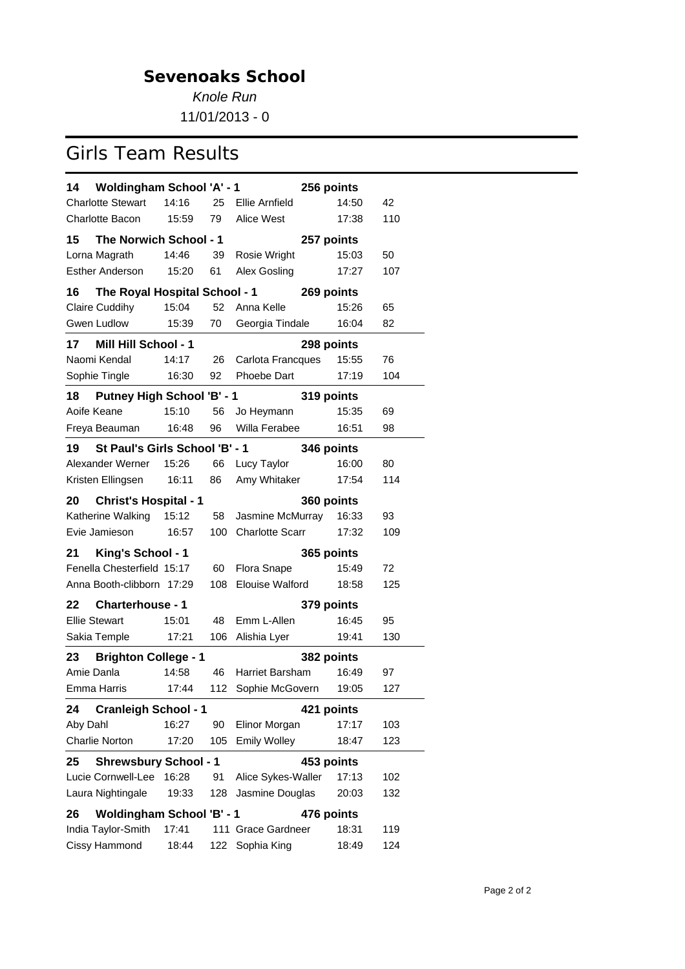*Knole Run*

11/01/2013 - 0

# Girls Team Results

| <b>Woldingham School 'A' - 1</b><br>14           |       |     |                        | 256 points |     |  |  |  |  |
|--------------------------------------------------|-------|-----|------------------------|------------|-----|--|--|--|--|
| <b>Charlotte Stewart</b>                         | 14:16 | 25  | Ellie Arnfield         | 14:50      | 42  |  |  |  |  |
| <b>Charlotte Bacon</b>                           | 15:59 | 79  | Alice West             | 17:38      | 110 |  |  |  |  |
| 15<br>The Norwich School - 1                     |       |     |                        | 257 points |     |  |  |  |  |
| Lorna Magrath                                    | 14:46 | 39  | Rosie Wright           | 15:03      | 50  |  |  |  |  |
| <b>Esther Anderson</b>                           | 15:20 | 61  | Alex Gosling           | 17:27      | 107 |  |  |  |  |
| 16<br>The Royal Hospital School - 1              |       |     |                        | 269 points |     |  |  |  |  |
| Claire Cuddihy                                   | 15:04 | 52  | Anna Kelle             | 15:26      | 65  |  |  |  |  |
| Gwen Ludlow                                      | 15:39 | 70  | Georgia Tindale        | 16:04      | 82  |  |  |  |  |
| 17<br><b>Mill Hill School - 1</b>                |       |     |                        | 298 points |     |  |  |  |  |
| Naomi Kendal                                     | 14:17 | 26  | Carlota Francques      | 15:55      | 76  |  |  |  |  |
| Sophie Tingle                                    | 16:30 | 92  | Phoebe Dart            | 17:19      | 104 |  |  |  |  |
| 18<br><b>Putney High School 'B' - 1</b>          |       |     |                        | 319 points |     |  |  |  |  |
| Aoife Keane                                      | 15:10 | 56  | Jo Heymann             | 15:35      | 69  |  |  |  |  |
| Freya Beauman                                    | 16:48 | 96  | Willa Ferabee          | 16:51      | 98  |  |  |  |  |
| St Paul's Girls School 'B' - 1<br>19             |       |     |                        | 346 points |     |  |  |  |  |
| Alexander Werner                                 | 15:26 | 66  | Lucy Taylor            | 16:00      | 80  |  |  |  |  |
| Kristen Ellingsen                                | 16:11 | 86  | Amy Whitaker           | 17:54      | 114 |  |  |  |  |
| 20<br><b>Christ's Hospital - 1</b><br>360 points |       |     |                        |            |     |  |  |  |  |
| Katherine Walking                                | 15:12 | 58  | Jasmine McMurray       | 16:33      | 93  |  |  |  |  |
| Evie Jamieson                                    | 16:57 | 100 | <b>Charlotte Scarr</b> | 17:32      | 109 |  |  |  |  |
| King's School - 1<br>21                          |       |     |                        | 365 points |     |  |  |  |  |
| Fenella Chesterfield 15:17                       |       | 60  | <b>Flora Snape</b>     | 15:49      | 72  |  |  |  |  |
| Anna Booth-clibborn 17:29                        |       | 108 | <b>Elouise Walford</b> | 18:58      | 125 |  |  |  |  |
| <b>Charterhouse - 1</b><br>22                    |       |     |                        | 379 points |     |  |  |  |  |
| <b>Ellie Stewart</b>                             | 15:01 | 48  | Emm L-Allen            | 16:45      | 95  |  |  |  |  |
| Sakia Temple                                     | 17:21 | 106 | Alishia Lyer           | 19:41      | 130 |  |  |  |  |
| <b>Brighton College - 1</b><br>23                |       |     |                        | 382 points |     |  |  |  |  |
| Amie Danla                                       | 14:58 | 46  | <b>Harriet Barsham</b> | 16:49      | 97  |  |  |  |  |
| Emma Harris                                      | 17:44 | 112 | Sophie McGovern        | 19:05      | 127 |  |  |  |  |
| <b>Cranleigh School - 1</b><br>24                |       |     |                        | 421 points |     |  |  |  |  |
| Aby Dahl                                         | 16:27 | 90  | Elinor Morgan          | 17:17      | 103 |  |  |  |  |
| <b>Charlie Norton</b>                            | 17:20 | 105 | <b>Emily Wolley</b>    | 18:47      | 123 |  |  |  |  |
| <b>Shrewsbury School - 1</b><br>25               |       |     |                        | 453 points |     |  |  |  |  |
| Lucie Cornwell-Lee                               | 16:28 | 91  | Alice Sykes-Waller     | 17:13      | 102 |  |  |  |  |
| Laura Nightingale                                | 19:33 | 128 | Jasmine Douglas        | 20:03      | 132 |  |  |  |  |
| <b>Woldingham School 'B' - 1</b><br>26           |       |     |                        | 476 points |     |  |  |  |  |
| India Taylor-Smith                               | 17:41 |     | 111 Grace Gardneer     | 18:31      | 119 |  |  |  |  |
| Cissy Hammond                                    | 18:44 | 122 | Sophia King            | 18:49      | 124 |  |  |  |  |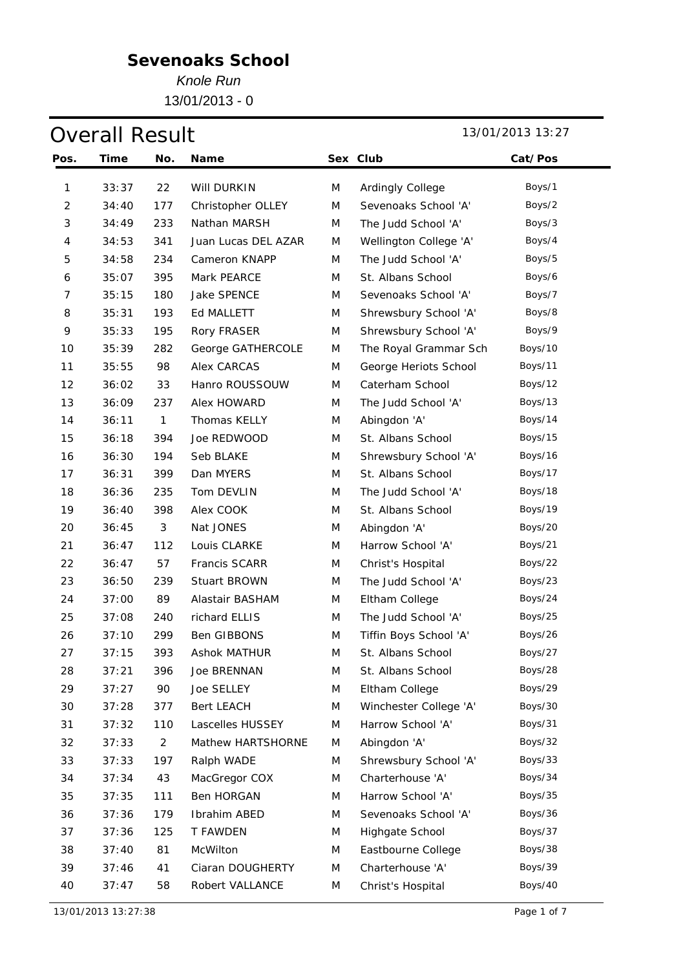*Knole Run*

13/01/2013 - 0

## **Overall Result** 13/01/2013 13:27

| Pos.           | Time  | No.            | Name                |   | Sex Club               | Cat/Pos |
|----------------|-------|----------------|---------------------|---|------------------------|---------|
| 1              | 33:37 | 22             | Will DURKIN         | M | Ardingly College       | Boys/1  |
| $\overline{c}$ | 34:40 | 177            | Christopher OLLEY   | M | Sevenoaks School 'A'   | Boys/2  |
| 3              | 34:49 | 233            | Nathan MARSH        | M | The Judd School 'A'    | Boys/3  |
| 4              | 34:53 | 341            | Juan Lucas DEL AZAR | M | Wellington College 'A' | Boys/4  |
| 5              | 34:58 | 234            | Cameron KNAPP       | M | The Judd School 'A'    | Boys/5  |
| 6              | 35:07 | 395            | Mark PEARCE         | M | St. Albans School      | Boys/6  |
| 7              | 35:15 | 180            | Jake SPENCE         | M | Sevenoaks School 'A'   | Boys/7  |
| 8              | 35:31 | 193            | Ed MALLETT          | M | Shrewsbury School 'A'  | Boys/8  |
| 9              | 35:33 | 195            | Rory FRASER         | M | Shrewsbury School 'A'  | Boys/9  |
| 10             | 35:39 | 282            | George GATHERCOLE   | M | The Royal Grammar Sch  | Boys/10 |
| 11             | 35:55 | 98             | <b>Alex CARCAS</b>  | M | George Heriots School  | Boys/11 |
| 12             | 36:02 | 33             | Hanro ROUSSOUW      | M | Caterham School        | Boys/12 |
| 13             | 36:09 | 237            | Alex HOWARD         | M | The Judd School 'A'    | Boys/13 |
| 14             | 36:11 | 1              | Thomas KELLY        | M | Abingdon 'A'           | Boys/14 |
| 15             | 36:18 | 394            | Joe REDWOOD         | M | St. Albans School      | Boys/15 |
| 16             | 36:30 | 194            | Seb BLAKE           | M | Shrewsbury School 'A'  | Boys/16 |
| 17             | 36:31 | 399            | Dan MYERS           | M | St. Albans School      | Boys/17 |
| 18             | 36:36 | 235            | Tom DEVLIN          | M | The Judd School 'A'    | Boys/18 |
| 19             | 36:40 | 398            | Alex COOK           | M | St. Albans School      | Boys/19 |
| 20             | 36:45 | 3              | Nat JONES           | M | Abingdon 'A'           | Boys/20 |
| 21             | 36:47 | 112            | Louis CLARKE        | M | Harrow School 'A'      | Boys/21 |
| 22             | 36:47 | 57             | Francis SCARR       | M | Christ's Hospital      | Boys/22 |
| 23             | 36:50 | 239            | Stuart BROWN        | M | The Judd School 'A'    | Boys/23 |
| 24             | 37:00 | 89             | Alastair BASHAM     | M | Eltham College         | Boys/24 |
| 25             | 37:08 | 240            | richard ELLIS       | M | The Judd School 'A'    | Boys/25 |
| 26             | 37:10 | 299            | Ben GIBBONS         | M | Tiffin Boys School 'A' | Boys/26 |
| 27             | 37:15 | 393            | <b>Ashok MATHUR</b> | M | St. Albans School      | Boys/27 |
| 28             | 37:21 | 396            | Joe BRENNAN         | M | St. Albans School      | Boys/28 |
| 29             | 37:27 | 90             | Joe SELLEY          | M | Eltham College         | Boys/29 |
| 30             | 37:28 | 377            | Bert LEACH          | M | Winchester College 'A' | Boys/30 |
| 31             | 37:32 | 110            | Lascelles HUSSEY    | M | Harrow School 'A'      | Boys/31 |
| 32             | 37:33 | $\overline{2}$ | Mathew HARTSHORNE   | M | Abingdon 'A'           | Boys/32 |
| 33             | 37:33 | 197            | Ralph WADE          | M | Shrewsbury School 'A'  | Boys/33 |
| 34             | 37:34 | 43             | MacGregor COX       | M | Charterhouse 'A'       | Boys/34 |
| 35             | 37:35 | 111            | Ben HORGAN          | M | Harrow School 'A'      | Boys/35 |
| 36             | 37:36 | 179            | Ibrahim ABED        | M | Sevenoaks School 'A'   | Boys/36 |
| 37             | 37:36 | 125            | T FAWDEN            | M | Highgate School        | Boys/37 |
| 38             | 37:40 | 81             | McWilton            | M | Eastbourne College     | Boys/38 |
| 39             | 37:46 | 41             | Ciaran DOUGHERTY    | M | Charterhouse 'A'       | Boys/39 |
| 40             | 37:47 | 58             | Robert VALLANCE     | M | Christ's Hospital      | Boys/40 |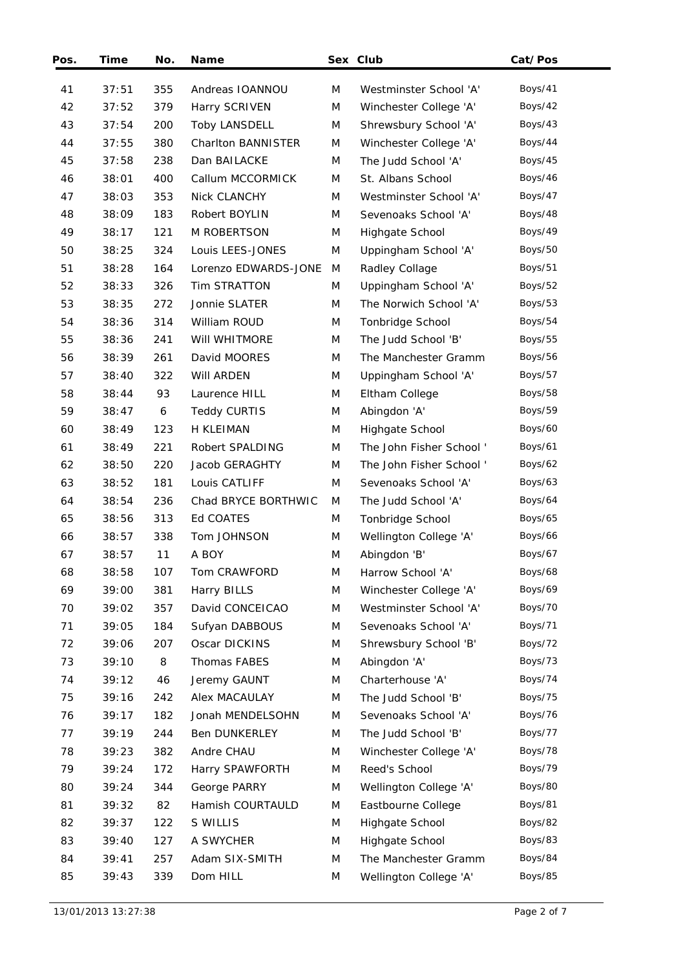| Pos. | Time  | No. | <b>Name</b>          |   | Sex Club                 | Cat/Pos |
|------|-------|-----|----------------------|---|--------------------------|---------|
| 41   | 37:51 | 355 | Andreas IOANNOU      | M | Westminster School 'A'   | Boys/41 |
| 42   | 37:52 | 379 | Harry SCRIVEN        | M | Winchester College 'A'   | Boys/42 |
| 43   | 37:54 | 200 | <b>Toby LANSDELL</b> | M | Shrewsbury School 'A'    | Boys/43 |
| 44   | 37:55 | 380 | Charlton BANNISTER   | M | Winchester College 'A'   | Boys/44 |
| 45   | 37:58 | 238 | Dan BAILACKE         | M | The Judd School 'A'      | Boys/45 |
| 46   | 38:01 | 400 | Callum MCCORMICK     | M | St. Albans School        | Boys/46 |
| 47   | 38:03 | 353 | Nick CLANCHY         | M | Westminster School 'A'   | Boys/47 |
| 48   | 38:09 | 183 | Robert BOYLIN        | M | Sevenoaks School 'A'     | Boys/48 |
| 49   | 38:17 | 121 | <b>M ROBERTSON</b>   | M | Highgate School          | Boys/49 |
| 50   | 38:25 | 324 | Louis LEES-JONES     | M | Uppingham School 'A'     | Boys/50 |
| 51   | 38:28 | 164 | Lorenzo EDWARDS-JONE | M | Radley Collage           | Boys/51 |
| 52   | 38:33 | 326 | <b>Tim STRATTON</b>  | M | Uppingham School 'A'     | Boys/52 |
| 53   | 38:35 | 272 | Jonnie SLATER        | M | The Norwich School 'A'   | Boys/53 |
| 54   | 38:36 | 314 | William ROUD         | M | Tonbridge School         | Boys/54 |
| 55   | 38:36 | 241 | WIII WHITMORE        | M | The Judd School 'B'      | Boys/55 |
| 56   | 38:39 | 261 | David MOORES         | M | The Manchester Gramm     | Boys/56 |
| 57   | 38:40 | 322 | WIII ARDEN           | M | Uppingham School 'A'     | Boys/57 |
| 58   | 38:44 | 93  | Laurence HILL        | M | Eltham College           | Boys/58 |
| 59   | 38:47 | 6   | <b>Teddy CURTIS</b>  | M | Abingdon 'A'             | Boys/59 |
| 60   | 38:49 | 123 | H KLEIMAN            | M | Highgate School          | Boys/60 |
| 61   | 38:49 | 221 | Robert SPALDING      | M | The John Fisher School ' | Boys/61 |
| 62   | 38:50 | 220 | Jacob GERAGHTY       | M | The John Fisher School'  | Boys/62 |
| 63   | 38:52 | 181 | Louis CATLIFF        | M | Sevenoaks School 'A'     | Boys/63 |
| 64   | 38:54 | 236 | Chad BRYCE BORTHWIC  | M | The Judd School 'A'      | Boys/64 |
| 65   | 38:56 | 313 | Ed COATES            | M | Tonbridge School         | Boys/65 |
| 66   | 38:57 | 338 | Tom JOHNSON          | M | Wellington College 'A'   | Boys/66 |
| 67   | 38:57 | 11  | A BOY                | M | Abingdon 'B'             | Boys/67 |
| 68   | 38:58 | 107 | Tom CRAWFORD         | M | Harrow School 'A'        | Boys/68 |
| 69   | 39:00 | 381 | Harry BILLS          | M | Winchester College 'A'   | Boys/69 |
| 70   | 39:02 | 357 | David CONCEICAO      | M | Westminster School 'A'   | Boys/70 |
| 71   | 39:05 | 184 | Sufyan DABBOUS       | M | Sevenoaks School 'A'     | Boys/71 |
| 72   | 39:06 | 207 | Oscar DICKINS        | M | Shrewsbury School 'B'    | Boys/72 |
| 73   | 39:10 | 8   | Thomas FABES         | M | Abingdon 'A'             | Boys/73 |
| 74   | 39:12 | 46  | Jeremy GAUNT         | M | Charterhouse 'A'         | Boys/74 |
| 75   | 39:16 | 242 | <b>Alex MACAULAY</b> | M | The Judd School 'B'      | Boys/75 |
| 76   | 39:17 | 182 | Jonah MENDELSOHN     | M | Sevenoaks School 'A'     | Boys/76 |
| 77   | 39:19 | 244 | Ben DUNKERLEY        | M | The Judd School 'B'      | Boys/77 |
| 78   | 39:23 | 382 | Andre CHAU           | M | Winchester College 'A'   | Boys/78 |
| 79   | 39:24 | 172 | Harry SPAWFORTH      | M | Reed's School            | Boys/79 |
| 80   | 39:24 | 344 | George PARRY         | M | Wellington College 'A'   | Boys/80 |
| 81   | 39:32 | 82  | Hamish COURTAULD     | M | Eastbourne College       | Boys/81 |
| 82   | 39:37 | 122 | S WILLIS             | M | Highgate School          | Boys/82 |
| 83   | 39:40 | 127 | A SWYCHER            | M | Highgate School          | Boys/83 |
| 84   | 39:41 | 257 | Adam SIX-SMITH       | M | The Manchester Gramm     | Boys/84 |
| 85   | 39:43 | 339 | Dom HILL             | M | Wellington College 'A'   | Boys/85 |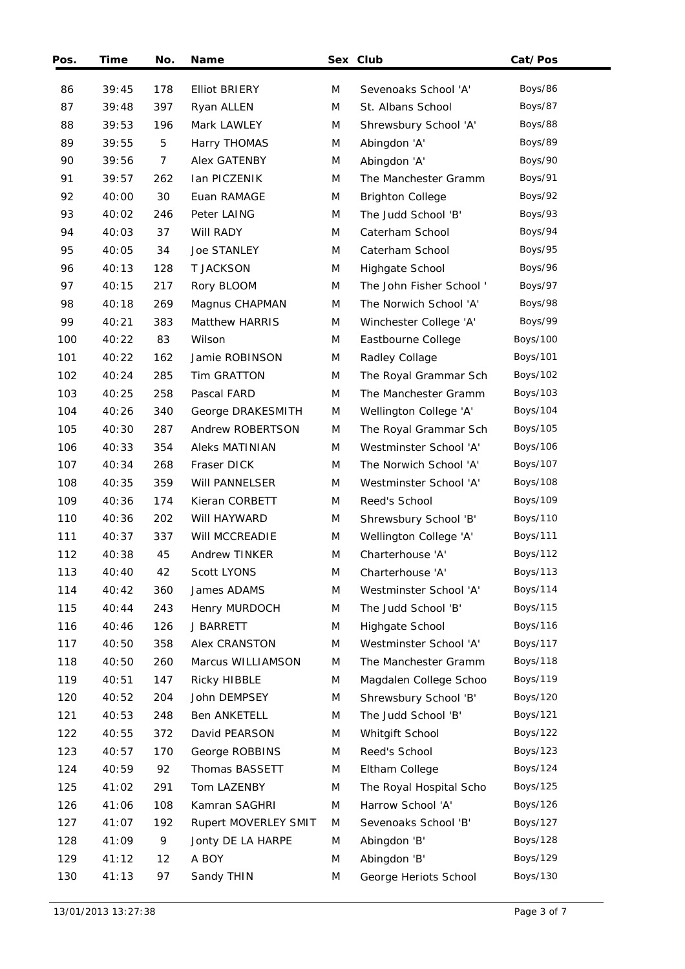| Pos. | Time  | No. | <b>Name</b>           |   | Sex Club                | Cat/Pos         |
|------|-------|-----|-----------------------|---|-------------------------|-----------------|
| 86   | 39:45 | 178 | <b>Elliot BRIERY</b>  | M | Sevenoaks School 'A'    | Boys/86         |
| 87   | 39:48 | 397 | Ryan ALLEN            | M | St. Albans School       | Boys/87         |
| 88   | 39:53 | 196 | Mark LAWLEY           | M | Shrewsbury School 'A'   | Boys/88         |
| 89   | 39:55 | 5   | Harry THOMAS          | M | Abingdon 'A'            | Boys/89         |
| 90   | 39:56 | 7   | Alex GATENBY          | M | Abingdon 'A'            | Boys/90         |
| 91   | 39:57 | 262 | Ian PICZENIK          | M | The Manchester Gramm    | Boys/91         |
| 92   | 40:00 | 30  | Euan RAMAGE           | M |                         | Boys/92         |
|      |       |     |                       |   | <b>Brighton College</b> |                 |
| 93   | 40:02 | 246 | Peter LAING           | M | The Judd School 'B'     | Boys/93         |
| 94   | 40:03 | 37  | Will RADY             | M | Caterham School         | Boys/94         |
| 95   | 40:05 | 34  | Joe STANLEY           | M | Caterham School         | Boys/95         |
| 96   | 40:13 | 128 | <b>T JACKSON</b>      | M | Highgate School         | Boys/96         |
| 97   | 40:15 | 217 | Rory BLOOM            | M | The John Fisher School' | Boys/97         |
| 98   | 40:18 | 269 | Magnus CHAPMAN        | M | The Norwich School 'A'  | Boys/98         |
| 99   | 40:21 | 383 | <b>Matthew HARRIS</b> | M | Winchester College 'A'  | Boys/99         |
| 100  | 40:22 | 83  | Wilson                | M | Eastbourne College      | <b>Boys/100</b> |
| 101  | 40:22 | 162 | Jamie ROBINSON        | M | Radley Collage          | Boys/101        |
| 102  | 40:24 | 285 | <b>Tim GRATTON</b>    | M | The Royal Grammar Sch   | Boys/102        |
| 103  | 40:25 | 258 | Pascal FARD           | M | The Manchester Gramm    | Boys/103        |
| 104  | 40:26 | 340 | George DRAKESMITH     | M | Wellington College 'A'  | Boys/104        |
| 105  | 40:30 | 287 | Andrew ROBERTSON      | M | The Royal Grammar Sch   | Boys/105        |
| 106  | 40:33 | 354 | <b>Aleks MATINIAN</b> | M | Westminster School 'A'  | Boys/106        |
| 107  | 40:34 | 268 | Fraser DICK           | M | The Norwich School 'A'  | Boys/107        |
| 108  | 40:35 | 359 | WIII PANNELSER        | M | Westminster School 'A'  | Boys/108        |
| 109  | 40:36 | 174 | Kieran CORBETT        | M | Reed's School           | Boys/109        |
| 110  | 40:36 | 202 | WIII HAYWARD          | M | Shrewsbury School 'B'   | Boys/110        |
| 111  | 40:37 | 337 | Will MCCREADIE        | M | Wellington College 'A'  | Boys/111        |
| 112  | 40:38 | 45  | Andrew TINKER         | M | Charterhouse 'A'        | Boys/112        |
| 113  | 40:40 | 42  | Scott LYONS           | M | Charterhouse 'A'        | Boys/113        |
| 114  | 40:42 | 360 | James ADAMS           | M | Westminster School 'A'  | Boys/114        |
| 115  | 40:44 | 243 | Henry MURDOCH         | M | The Judd School 'B'     | Boys/115        |
| 116  | 40:46 | 126 | J BARRETT             | M | Highgate School         | Boys/116        |
| 117  | 40:50 | 358 | Alex CRANSTON         | M | Westminster School 'A'  | Boys/117        |
| 118  | 40:50 | 260 | Marcus WILLIAMSON     | M | The Manchester Gramm    | <b>Boys/118</b> |
| 119  | 40:51 | 147 | Ricky HIBBLE          | M | Magdalen College Schoo  | Boys/119        |
| 120  | 40:52 | 204 | John DEMPSEY          | M | Shrewsbury School 'B'   | Boys/120        |
| 121  | 40:53 | 248 | <b>Ben ANKETELL</b>   | M | The Judd School 'B'     | Boys/121        |
| 122  | 40:55 | 372 | David PEARSON         | M | Whitgift School         | Boys/122        |
| 123  | 40:57 | 170 | George ROBBINS        | M | Reed's School           | Boys/123        |
| 124  | 40:59 | 92  | Thomas BASSETT        | M | Eltham College          | Boys/124        |
| 125  | 41:02 | 291 | Tom LAZENBY           | M | The Royal Hospital Scho | Boys/125        |
| 126  | 41:06 | 108 | Kamran SAGHRI         | M | Harrow School 'A'       | Boys/126        |
| 127  | 41:07 | 192 | Rupert MOVERLEY SMIT  | M | Sevenoaks School 'B'    | Boys/127        |
| 128  | 41:09 | 9   | Jonty DE LA HARPE     | M | Abingdon 'B'            | Boys/128        |
| 129  | 41:12 | 12  | A BOY                 | M | Abingdon 'B'            | Boys/129        |
| 130  | 41:13 | 97  | Sandy THIN            | M | George Heriots School   | Boys/130        |
|      |       |     |                       |   |                         |                 |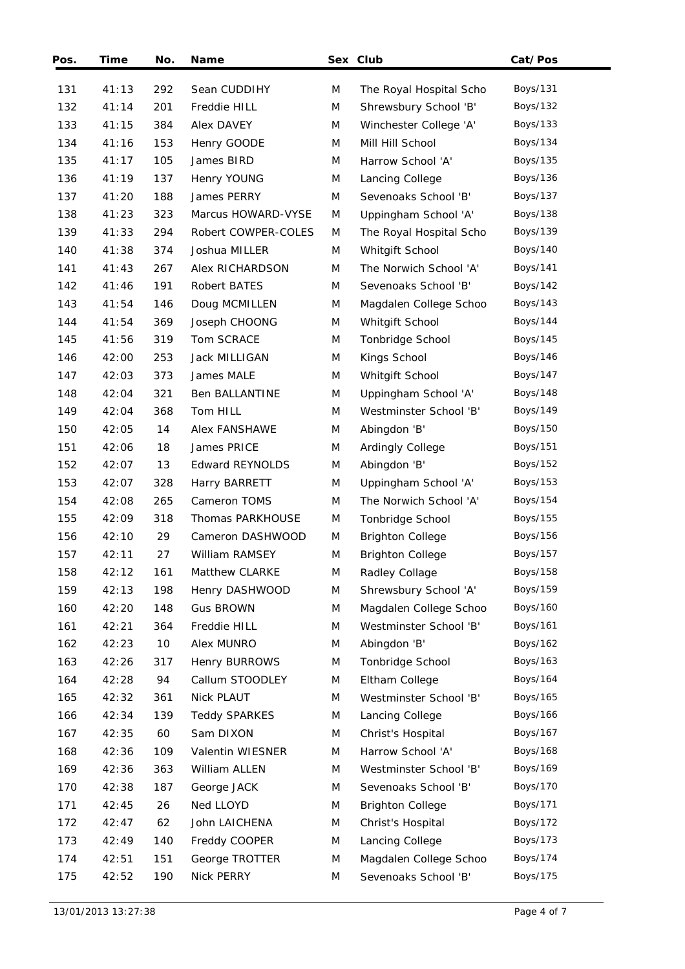| Pos. | Time  | No. | <b>Name</b>            |   | Sex Club                | Cat/Pos         |
|------|-------|-----|------------------------|---|-------------------------|-----------------|
| 131  | 41:13 | 292 | Sean CUDDIHY           | M | The Royal Hospital Scho | Boys/131        |
| 132  | 41:14 | 201 | Freddie HILL           | M | Shrewsbury School 'B'   | Boys/132        |
| 133  | 41:15 | 384 | <b>Alex DAVEY</b>      | M | Winchester College 'A'  | Boys/133        |
| 134  | 41:16 | 153 | Henry GOODE            | M | Mill Hill School        | Boys/134        |
| 135  | 41:17 | 105 | James BIRD             | M | Harrow School 'A'       | Boys/135        |
| 136  | 41:19 | 137 | Henry YOUNG            | M | Lancing College         | Boys/136        |
| 137  | 41:20 | 188 | James PERRY            | M | Sevenoaks School 'B'    | Boys/137        |
| 138  | 41:23 | 323 | Marcus HOWARD-VYSE     | M | Uppingham School 'A'    | Boys/138        |
| 139  | 41:33 | 294 | Robert COWPER-COLES    | M | The Royal Hospital Scho | Boys/139        |
| 140  | 41:38 | 374 | Joshua MILLER          | M | Whitgift School         | Boys/140        |
| 141  | 41:43 | 267 | Alex RICHARDSON        | M | The Norwich School 'A'  | Boys/141        |
| 142  | 41:46 | 191 | Robert BATES           | M | Sevenoaks School 'B'    | Boys/142        |
| 143  | 41:54 | 146 | Doug MCMILLEN          | M | Magdalen College Schoo  | Boys/143        |
| 144  | 41:54 | 369 | Joseph CHOONG          | M | Whitgift School         | <b>Boys/144</b> |
| 145  | 41:56 | 319 | Tom SCRACE             | M | Tonbridge School        | Boys/145        |
| 146  | 42:00 | 253 | Jack MILLIGAN          | M | Kings School            | Boys/146        |
| 147  | 42:03 | 373 | James MALE             | M | Whitgift School         | Boys/147        |
| 148  | 42:04 | 321 | Ben BALLANTINE         | M | Uppingham School 'A'    | Boys/148        |
| 149  | 42:04 | 368 | Tom HILL               | M | Westminster School 'B'  | Boys/149        |
| 150  | 42:05 | 14  | Alex FANSHAWE          | M | Abingdon 'B'            | Boys/150        |
| 151  | 42:06 | 18  | James PRICE            | M | Ardingly College        | Boys/151        |
| 152  | 42:07 | 13  | <b>Edward REYNOLDS</b> | M | Abingdon 'B'            | Boys/152        |
| 153  | 42:07 | 328 | Harry BARRETT          | M | Uppingham School 'A'    | Boys/153        |
| 154  | 42:08 | 265 | Cameron TOMS           | M | The Norwich School 'A'  | Boys/154        |
| 155  | 42:09 | 318 | Thomas PARKHOUSE       | M | Tonbridge School        | Boys/155        |
| 156  | 42:10 | 29  | Cameron DASHWOOD       | M | <b>Brighton College</b> | Boys/156        |
| 157  | 42:11 | 27  | William RAMSEY         | M | <b>Brighton College</b> | Boys/157        |
| 158  | 42:12 | 161 | Matthew CLARKE         | M | Radley Collage          | <b>Boys/158</b> |
| 159  | 42:13 | 198 | Henry DASHWOOD         | M | Shrewsbury School 'A'   | Boys/159        |
| 160  | 42:20 | 148 | <b>Gus BROWN</b>       | M | Magdalen College Schoo  | Boys/160        |
| 161  | 42:21 | 364 | Freddie HILL           | M | Westminster School 'B'  | Boys/161        |
| 162  | 42:23 | 10  | Alex MUNRO             | M | Abingdon 'B'            | Boys/162        |
| 163  | 42:26 | 317 | Henry BURROWS          | M | Tonbridge School        | Boys/163        |
| 164  | 42:28 | 94  | Callum STOODLEY        | M | Eltham College          | Boys/164        |
| 165  | 42:32 | 361 | Nick PLAUT             | M | Westminster School 'B'  | Boys/165        |
| 166  | 42:34 | 139 | <b>Teddy SPARKES</b>   | M | Lancing College         | Boys/166        |
| 167  | 42:35 | 60  | Sam DIXON              | M | Christ's Hospital       | Boys/167        |
| 168  | 42:36 | 109 | Valentin WIESNER       | M | Harrow School 'A'       | Boys/168        |
| 169  | 42:36 | 363 | William ALLEN          | M | Westminster School 'B'  | Boys/169        |
| 170  | 42:38 | 187 | George JACK            | M | Sevenoaks School 'B'    | Boys/170        |
| 171  | 42:45 | 26  | Ned LLOYD              | M | <b>Brighton College</b> | Boys/171        |
| 172  | 42:47 | 62  | John LAICHENA          | M | Christ's Hospital       | Boys/172        |
| 173  | 42:49 | 140 | Freddy COOPER          | M | Lancing College         | Boys/173        |
| 174  | 42:51 | 151 | George TROTTER         | M | Magdalen College Schoo  | Boys/174        |
| 175  | 42:52 | 190 | Nick PERRY             | M | Sevenoaks School 'B'    | Boys/175        |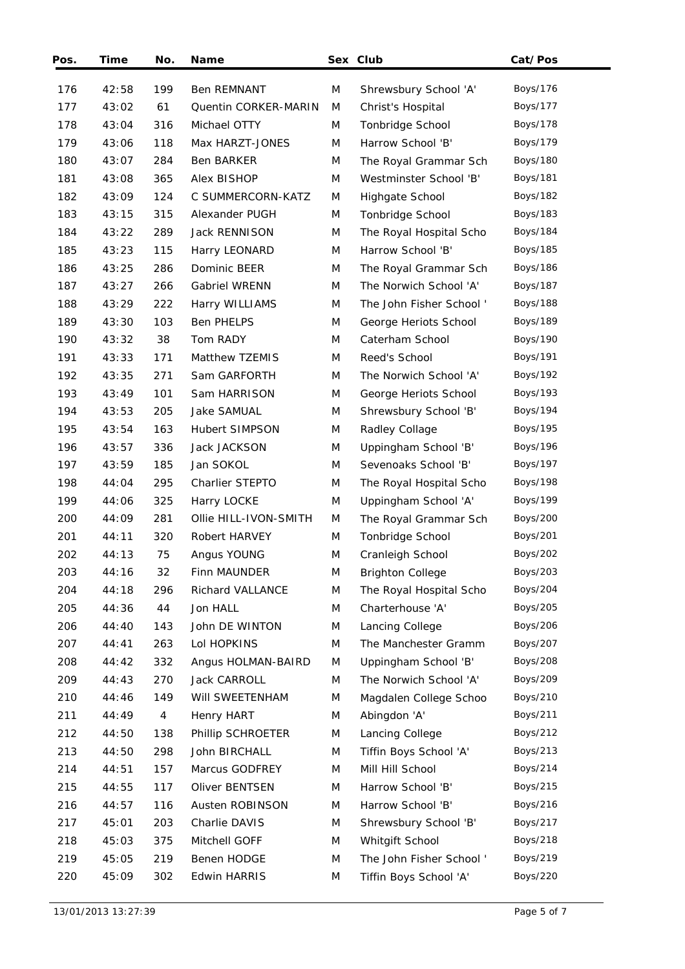| Pos. | Time  | No. | <b>Name</b>           |   | Sex Club                 | Cat/Pos         |
|------|-------|-----|-----------------------|---|--------------------------|-----------------|
| 176  | 42:58 | 199 | <b>Ben REMNANT</b>    | M | Shrewsbury School 'A'    | Boys/176        |
| 177  | 43:02 | 61  | Quentin CORKER-MARIN  | M | Christ's Hospital        | Boys/177        |
| 178  | 43:04 | 316 | Michael OTTY          | M | Tonbridge School         | Boys/178        |
| 179  | 43:06 | 118 | Max HARZT-JONES       | M | Harrow School 'B'        | Boys/179        |
| 180  | 43:07 | 284 | Ben BARKER            | M | The Royal Grammar Sch    | <b>Boys/180</b> |
| 181  | 43:08 | 365 | Alex BISHOP           | M | Westminster School 'B'   | Boys/181        |
| 182  | 43:09 | 124 | C SUMMERCORN-KATZ     | M | Highgate School          | Boys/182        |
| 183  | 43:15 | 315 | Alexander PUGH        | M | Tonbridge School         | Boys/183        |
| 184  | 43:22 | 289 | Jack RENNISON         | M | The Royal Hospital Scho  | Boys/184        |
| 185  | 43:23 | 115 | Harry LEONARD         | M | Harrow School 'B'        | Boys/185        |
| 186  | 43:25 | 286 | Dominic BEER          | M |                          | Boys/186        |
|      |       |     |                       |   | The Royal Grammar Sch    |                 |
| 187  | 43:27 | 266 | Gabriel WRENN         | M | The Norwich School 'A'   | Boys/187        |
| 188  | 43:29 | 222 | Harry WILLIAMS        | M | The John Fisher School ' | <b>Boys/188</b> |
| 189  | 43:30 | 103 | <b>Ben PHELPS</b>     | M | George Heriots School    | Boys/189        |
| 190  | 43:32 | 38  | Tom RADY              | M | Caterham School          | <b>Boys/190</b> |
| 191  | 43:33 | 171 | Matthew TZEMIS        | M | Reed's School            | Boys/191        |
| 192  | 43:35 | 271 | Sam GARFORTH          | M | The Norwich School 'A'   | Boys/192        |
| 193  | 43:49 | 101 | Sam HARRISON          | M | George Heriots School    | Boys/193        |
| 194  | 43:53 | 205 | Jake SAMUAL           | M | Shrewsbury School 'B'    | Boys/194        |
| 195  | 43:54 | 163 | Hubert SIMPSON        | M | Radley Collage           | Boys/195        |
| 196  | 43:57 | 336 | Jack JACKSON          | M | Uppingham School 'B'     | Boys/196        |
| 197  | 43:59 | 185 | Jan SOKOL             | M | Sevenoaks School 'B'     | Boys/197        |
| 198  | 44:04 | 295 | Charlier STEPTO       | M | The Royal Hospital Scho  | Boys/198        |
| 199  | 44:06 | 325 | Harry LOCKE           | M | Uppingham School 'A'     | Boys/199        |
| 200  | 44:09 | 281 | Ollie HILL-IVON-SMITH | M | The Royal Grammar Sch    | <b>Boys/200</b> |
| 201  | 44:11 | 320 | Robert HARVEY         | M | Tonbridge School         | <b>Boys/201</b> |
| 202  | 44:13 | 75  | Angus YOUNG           | M | Cranleigh School         | <b>Boys/202</b> |
| 203  | 44:16 | 32  | Finn MAUNDER          | M | <b>Brighton College</b>  | <b>Boys/203</b> |
| 204  | 44:18 | 296 | Richard VALLANCE      | M | The Royal Hospital Scho  | Boys/204        |
| 205  | 44:36 | 44  | Jon HALL              | M | Charterhouse 'A'         | Boys/205        |
| 206  | 44:40 | 143 | John DE WINTON        | M | Lancing College          | Boys/206        |
| 207  | 44:41 | 263 | Lol HOPKINS           | M | The Manchester Gramm     | Boys/207        |
| 208  | 44:42 | 332 | Angus HOLMAN-BAIRD    | M | Uppingham School 'B'     | <b>Boys/208</b> |
| 209  | 44:43 | 270 | Jack CARROLL          | M | The Norwich School 'A'   | Boys/209        |
| 210  | 44:46 | 149 | WIII SWEETENHAM       | M | Magdalen College Schoo   | Boys/210        |
| 211  | 44:49 | 4   | Henry HART            | M | Abingdon 'A'             | Boys/211        |
| 212  | 44:50 | 138 | Phillip SCHROETER     | M | Lancing College          | Boys/212        |
| 213  | 44:50 | 298 | John BIRCHALL         | M | Tiffin Boys School 'A'   | Boys/213        |
| 214  | 44:51 | 157 | Marcus GODFREY        | M | Mill Hill School         | Boys/214        |
| 215  | 44:55 | 117 | Oliver BENTSEN        | M | Harrow School 'B'        | Boys/215        |
| 216  | 44:57 | 116 | Austen ROBINSON       | M | Harrow School 'B'        | Boys/216        |
| 217  | 45:01 | 203 | Charlie DAVIS         | M | Shrewsbury School 'B'    | Boys/217        |
| 218  | 45:03 | 375 | Mitchell GOFF         | M | Whitgift School          | Boys/218        |
| 219  | 45:05 | 219 | Benen HODGE           | M | The John Fisher School ' | Boys/219        |
| 220  | 45:09 | 302 | <b>Edwin HARRIS</b>   | M | Tiffin Boys School 'A'   | <b>Boys/220</b> |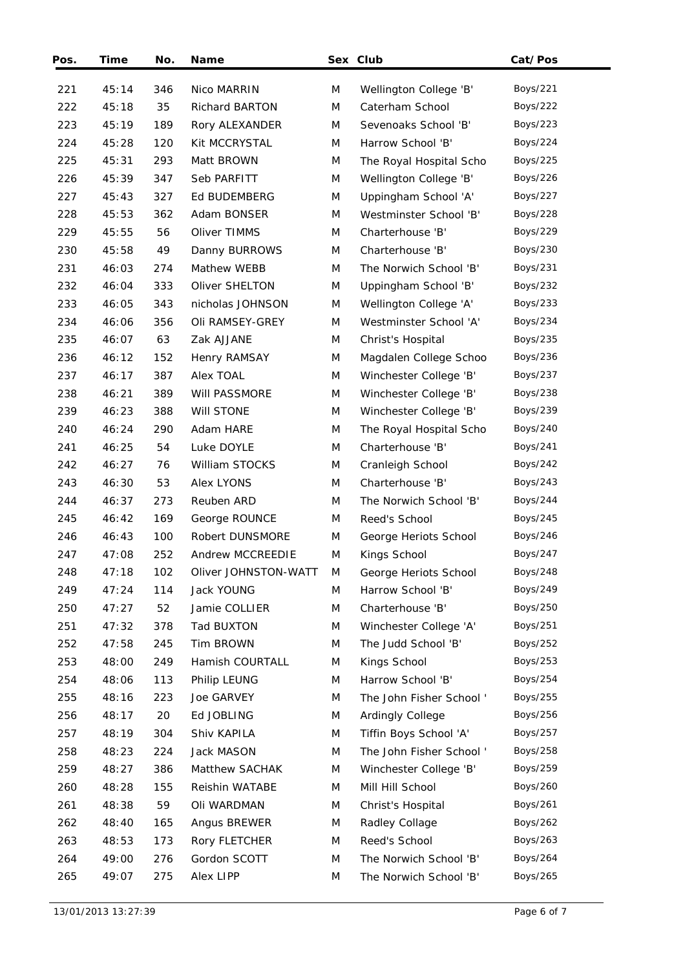| Pos. | Time  | No. | <b>Name</b>           |   | Sex Club                 | Cat/Pos         |
|------|-------|-----|-----------------------|---|--------------------------|-----------------|
| 221  | 45:14 | 346 | Nico MARRIN           | M | Wellington College 'B'   | Boys/221        |
| 222  | 45:18 | 35  | <b>Richard BARTON</b> | M | Caterham School          | Boys/222        |
| 223  | 45:19 | 189 | Rory ALEXANDER        | M | Sevenoaks School 'B'     | Boys/223        |
| 224  | 45:28 | 120 | Kit MCCRYSTAL         | M | Harrow School 'B'        | Boys/224        |
| 225  | 45:31 | 293 | Matt BROWN            | M | The Royal Hospital Scho  | Boys/225        |
| 226  | 45:39 | 347 | Seb PARFITT           | M | Wellington College 'B'   | Boys/226        |
| 227  | 45:43 | 327 | Ed BUDEMBERG          | M | Uppingham School 'A'     | <b>Boys/227</b> |
| 228  | 45:53 | 362 | Adam BONSER           | M | Westminster School 'B'   | <b>Boys/228</b> |
| 229  | 45:55 | 56  | Oliver TIMMS          | M | Charterhouse 'B'         | <b>Boys/229</b> |
| 230  | 45:58 | 49  | Danny BURROWS         | M | Charterhouse 'B'         | Boys/230        |
| 231  | 46:03 | 274 | Mathew WEBB           | M | The Norwich School 'B'   | Boys/231        |
| 232  | 46:04 | 333 | Oliver SHELTON        | M | Uppingham School 'B'     | Boys/232        |
| 233  | 46:05 | 343 | nicholas JOHNSON      | M | Wellington College 'A'   | Boys/233        |
| 234  | 46:06 | 356 | Oli RAMSEY-GREY       | M | Westminster School 'A'   | Boys/234        |
| 235  | 46:07 | 63  | Zak AJJANE            | M | Christ's Hospital        | Boys/235        |
| 236  | 46:12 | 152 | Henry RAMSAY          | M | Magdalen College Schoo   | Boys/236        |
| 237  | 46:17 | 387 | Alex TOAL             | M | Winchester College 'B'   | Boys/237        |
| 238  | 46:21 | 389 | Will PASSMORE         | M | Winchester College 'B'   | <b>Boys/238</b> |
| 239  | 46:23 | 388 | Will STONE            | M | Winchester College 'B'   | Boys/239        |
| 240  | 46:24 | 290 | Adam HARE             | M | The Royal Hospital Scho  | Boys/240        |
| 241  | 46:25 | 54  | Luke DOYLE            | M | Charterhouse 'B'         | Boys/241        |
| 242  | 46:27 | 76  | William STOCKS        | M | Cranleigh School         | Boys/242        |
| 243  | 46:30 | 53  | Alex LYONS            | M | Charterhouse 'B'         | Boys/243        |
| 244  | 46:37 | 273 | Reuben ARD            | M | The Norwich School 'B'   | Boys/244        |
| 245  | 46:42 | 169 | George ROUNCE         | M | Reed's School            | Boys/245        |
| 246  | 46:43 | 100 | Robert DUNSMORE       | M | George Heriots School    | <b>Boys/246</b> |
| 247  | 47:08 | 252 | Andrew MCCREEDIE      | M | Kings School             | Boys/247        |
| 248  | 47:18 | 102 | Oliver JOHNSTON-WATT  | M | George Heriots School    | Boys/248        |
| 249  | 47:24 | 114 | Jack YOUNG            | M | Harrow School 'B'        | Boys/249        |
| 250  | 47:27 | 52  | Jamie COLLIER         | M | Charterhouse 'B'         | Boys/250        |
| 251  | 47:32 | 378 | Tad BUXTON            | M | Winchester College 'A'   | Boys/251        |
| 252  | 47:58 | 245 | Tim BROWN             | M | The Judd School 'B'      | Boys/252        |
| 253  | 48:00 | 249 | Hamish COURTALL       | M | Kings School             | Boys/253        |
| 254  | 48:06 | 113 | Philip LEUNG          | M | Harrow School 'B'        | Boys/254        |
| 255  | 48:16 | 223 | Joe GARVEY            | M | The John Fisher School'  | Boys/255        |
| 256  | 48:17 | 20  | Ed JOBLING            | M | Ardingly College         | Boys/256        |
| 257  | 48:19 | 304 | Shiv KAPILA           | M | Tiffin Boys School 'A'   | Boys/257        |
| 258  | 48:23 | 224 | Jack MASON            | M | The John Fisher School ' | Boys/258        |
| 259  | 48:27 | 386 | Matthew SACHAK        | M | Winchester College 'B'   | Boys/259        |
| 260  | 48:28 | 155 | Reishin WATABE        | M | Mill Hill School         | <b>Boys/260</b> |
| 261  | 48:38 | 59  | Oli WARDMAN           | M | Christ's Hospital        | Boys/261        |
| 262  | 48:40 | 165 | Angus BREWER          | M | Radley Collage           | Boys/262        |
| 263  | 48:53 | 173 | Rory FLETCHER         | M | Reed's School            | Boys/263        |
| 264  | 49:00 | 276 | Gordon SCOTT          | M | The Norwich School 'B'   | Boys/264        |
| 265  | 49:07 | 275 | Alex LIPP             | M | The Norwich School 'B'   | Boys/265        |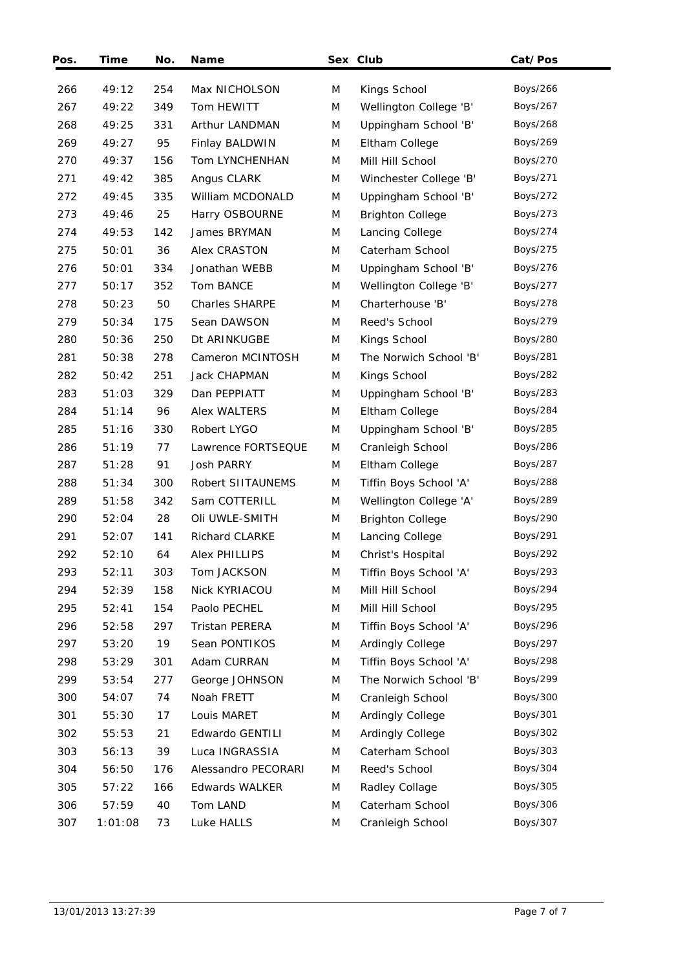| Pos. | Time    | No. | Name                  |   | Sex Club                | Cat/Pos         |  |
|------|---------|-----|-----------------------|---|-------------------------|-----------------|--|
| 266  | 49:12   | 254 | Max NICHOLSON         | M | Kings School            | Boys/266        |  |
| 267  | 49:22   | 349 | Tom HEWITT            | M | Wellington College 'B'  | Boys/267        |  |
| 268  | 49:25   | 331 | Arthur LANDMAN        | M | Uppingham School 'B'    | Boys/268        |  |
| 269  | 49:27   | 95  | Finlay BALDWIN        | M | Eltham College          | Boys/269        |  |
| 270  | 49:37   | 156 | Tom LYNCHENHAN        | M | Mill Hill School        | Boys/270        |  |
| 271  | 49:42   | 385 | Angus CLARK           | M | Winchester College 'B'  | Boys/271        |  |
| 272  | 49:45   | 335 | William MCDONALD      | M | Uppingham School 'B'    | Boys/272        |  |
| 273  | 49:46   | 25  | Harry OSBOURNE        | M | <b>Brighton College</b> | <b>Boys/273</b> |  |
| 274  | 49:53   | 142 | James BRYMAN          | M | Lancing College         | Boys/274        |  |
| 275  | 50:01   | 36  | Alex CRASTON          | M | Caterham School         | Boys/275        |  |
| 276  | 50:01   | 334 | Jonathan WEBB         | M | Uppingham School 'B'    | Boys/276        |  |
| 277  | 50:17   | 352 | Tom BANCE             | M | Wellington College 'B'  | Boys/277        |  |
| 278  | 50:23   | 50  | <b>Charles SHARPE</b> | M | Charterhouse 'B'        | Boys/278        |  |
| 279  | 50:34   | 175 | Sean DAWSON           | M | Reed's School           | Boys/279        |  |
| 280  | 50:36   | 250 | Dt ARINKUGBE          | M | Kings School            | <b>Boys/280</b> |  |
| 281  | 50:38   | 278 | Cameron MCINTOSH      | M | The Norwich School 'B'  | <b>Boys/281</b> |  |
| 282  | 50:42   | 251 | <b>Jack CHAPMAN</b>   | M | Kings School            | <b>Boys/282</b> |  |
| 283  | 51:03   | 329 | Dan PEPPIATT          | M | Uppingham School 'B'    | <b>Boys/283</b> |  |
| 284  | 51:14   | 96  | Alex WALTERS          | M | Eltham College          | <b>Boys/284</b> |  |
| 285  | 51:16   | 330 | Robert LYGO           | M | Uppingham School 'B'    | Boys/285        |  |
| 286  | 51:19   | 77  | Lawrence FORTSEQUE    | M | Cranleigh School        | <b>Boys/286</b> |  |
| 287  | 51:28   | 91  | <b>Josh PARRY</b>     | M | Eltham College          | <b>Boys/287</b> |  |
| 288  | 51:34   | 300 | Robert SIITAUNEMS     | M | Tiffin Boys School 'A'  | <b>Boys/288</b> |  |
| 289  | 51:58   | 342 | Sam COTTERILL         | M | Wellington College 'A'  | <b>Boys/289</b> |  |
| 290  | 52:04   | 28  | Oli UWLE-SMITH        | M | <b>Brighton College</b> | <b>Boys/290</b> |  |
| 291  | 52:07   | 141 | <b>Richard CLARKE</b> | M | Lancing College         | Boys/291        |  |
| 292  | 52:10   | 64  | Alex PHILLIPS         | M | Christ's Hospital       | Boys/292        |  |
| 293  | 52:11   | 303 | Tom JACKSON           | M | Tiffin Boys School 'A'  | Boys/293        |  |
| 294  | 52:39   | 158 | Nick KYRIACOU         | M | Mill Hill School        | Boys/294        |  |
| 295  | 52:41   | 154 | Paolo PECHEL          | M | Mill Hill School        | Boys/295        |  |
| 296  | 52:58   | 297 | Tristan PERERA        | M | Tiffin Boys School 'A'  | Boys/296        |  |
| 297  | 53:20   | 19  | Sean PONTIKOS         | M | Ardingly College        | Boys/297        |  |
| 298  | 53:29   | 301 | Adam CURRAN           | M | Tiffin Boys School 'A'  | <b>Boys/298</b> |  |
| 299  | 53:54   | 277 | George JOHNSON        | M | The Norwich School 'B'  | Boys/299        |  |
| 300  | 54:07   | 74  | Noah FRETT            | M | Cranleigh School        | Boys/300        |  |
| 301  | 55:30   | 17  | Louis MARET           | M | Ardingly College        | Boys/301        |  |
| 302  | 55:53   | 21  | Edwardo GENTILI       | M | Ardingly College        | Boys/302        |  |
| 303  | 56:13   | 39  | Luca INGRASSIA        | M | Caterham School         | Boys/303        |  |
| 304  | 56:50   | 176 | Alessandro PECORARI   | M | Reed's School           | Boys/304        |  |
| 305  | 57:22   | 166 | Edwards WALKER        | M | Radley Collage          | Boys/305        |  |
| 306  | 57:59   | 40  | Tom LAND              | M | Caterham School         | Boys/306        |  |
| 307  | 1:01:08 | 73  | Luke HALLS            | M | Cranleigh School        | Boys/307        |  |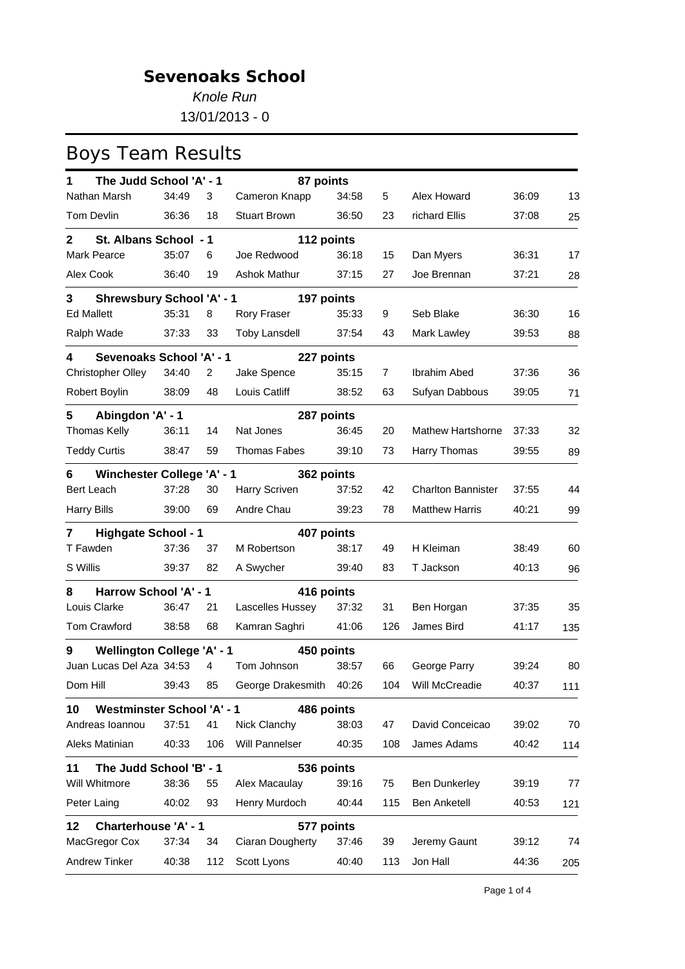*Knole Run* 13/01/2013 - 0

| The Judd School 'A' - 1<br>1            |          |                | 87 points               |       |                |                           |       |     |
|-----------------------------------------|----------|----------------|-------------------------|-------|----------------|---------------------------|-------|-----|
| Nathan Marsh                            | 34:49    | 3              | Cameron Knapp           | 34:58 | 5              | Alex Howard               | 36:09 | 13  |
| Tom Devlin                              | 36:36    | 18             | <b>Stuart Brown</b>     | 36:50 | 23             | richard Ellis             | 37:08 | 25  |
| St. Albans School - 1<br>$\mathbf{2}$   |          |                | 112 points              |       |                |                           |       |     |
| Mark Pearce                             | 35:07    | 6              | Joe Redwood             | 36:18 | 15             | Dan Myers                 | 36:31 | 17  |
| Alex Cook                               | 36:40    | 19             | Ashok Mathur            | 37:15 | 27             | Joe Brennan               | 37:21 | 28  |
| <b>Shrewsbury School 'A' - 1</b><br>3   |          |                | 197 points              |       |                |                           |       |     |
| <b>Ed Mallett</b>                       | 35:31    | 8              | <b>Rory Fraser</b>      | 35:33 | 9              | Seb Blake                 | 36:30 | 16  |
| Ralph Wade                              | 37:33    | 33             | <b>Toby Lansdell</b>    | 37:54 | 43             | Mark Lawley               | 39:53 | 88  |
| <b>Sevenoaks School 'A' - 1</b><br>4    |          |                | 227 points              |       |                |                           |       |     |
| Christopher Olley                       | 34:40    | $\overline{2}$ | Jake Spence             | 35:15 | $\overline{7}$ | Ibrahim Abed              | 37:36 | 36  |
| Robert Boylin                           | 38:09    | 48             | Louis Catliff           | 38:52 | 63             | Sufyan Dabbous            | 39:05 | 71  |
| Abingdon 'A' - 1<br>5                   |          |                | 287 points              |       |                |                           |       |     |
| Thomas Kelly                            | 36:11    | 14             | Nat Jones               | 36:45 | 20             | <b>Mathew Hartshorne</b>  | 37:33 | 32  |
| <b>Teddy Curtis</b>                     | 38:47    | 59             | Thomas Fabes            | 39:10 | 73             | Harry Thomas              | 39:55 | 89  |
| <b>Winchester College 'A' - 1</b><br>6  |          |                | 362 points              |       |                |                           |       |     |
| <b>Bert Leach</b>                       | 37:28    | 30             | Harry Scriven           | 37:52 | 42             | <b>Charlton Bannister</b> | 37:55 | 44  |
| <b>Harry Bills</b>                      | 39:00    | 69             | Andre Chau              | 39:23 | 78             | <b>Matthew Harris</b>     | 40:21 | 99  |
| <b>Highgate School - 1</b><br>7         |          |                | 407 points              |       |                |                           |       |     |
| T Fawden                                | 37:36    | 37             | M Robertson             | 38:17 | 49             | H Kleiman                 | 38:49 | 60  |
| S Willis                                | 39:37    | 82             | A Swycher               | 39:40 | 83             | T Jackson                 | 40:13 | 96  |
| Harrow School 'A' - 1<br>8              |          |                | 416 points              |       |                |                           |       |     |
| Louis Clarke                            | 36:47    | 21             | Lascelles Hussey        | 37:32 | 31             | Ben Horgan                | 37:35 | 35  |
| Tom Crawford                            | 38:58    | 68             | Kamran Saghri           | 41:06 | 126            | James Bird                | 41:17 | 135 |
| Wellington College 'A' - 1<br>9         |          |                | 450 points              |       |                |                           |       |     |
| Juan Lucas Del Aza 34:53                |          | $\overline{4}$ | Tom Johnson             | 38:57 | 66             | George Parry              | 39:24 | 80  |
| Dom Hill                                | 39:43 85 |                | George Drakesmith 40:26 |       |                | 104 Will McCreadie        | 40:37 | 111 |
| <b>Westminster School 'A' - 1</b><br>10 |          |                | 486 points              |       |                |                           |       |     |
| Andreas Ioannou                         | 37:51    | 41             | Nick Clanchy            | 38:03 | 47             | David Conceicao           | 39:02 | 70  |
| Aleks Matinian                          | 40:33    | 106            | Will Pannelser          | 40:35 | 108            | James Adams               | 40:42 | 114 |
| The Judd School 'B' - 1<br>11           |          |                | 536 points              |       |                |                           |       |     |
| Will Whitmore                           | 38:36    | 55             | Alex Macaulay           | 39:16 | 75             | <b>Ben Dunkerley</b>      | 39:19 | 77  |
| Peter Laing                             | 40:02    | 93             | Henry Murdoch           | 40:44 | 115            | <b>Ben Anketell</b>       | 40:53 | 121 |
| <b>Charterhouse 'A' - 1</b><br>12       |          |                | 577 points              |       |                |                           |       |     |
| MacGregor Cox                           | 37:34    | 34             | Ciaran Dougherty        | 37:46 | 39             | Jeremy Gaunt              | 39:12 | 74  |
| Andrew Tinker                           | 40:38    | 112            | Scott Lyons             | 40:40 | 113            | Jon Hall                  | 44:36 | 205 |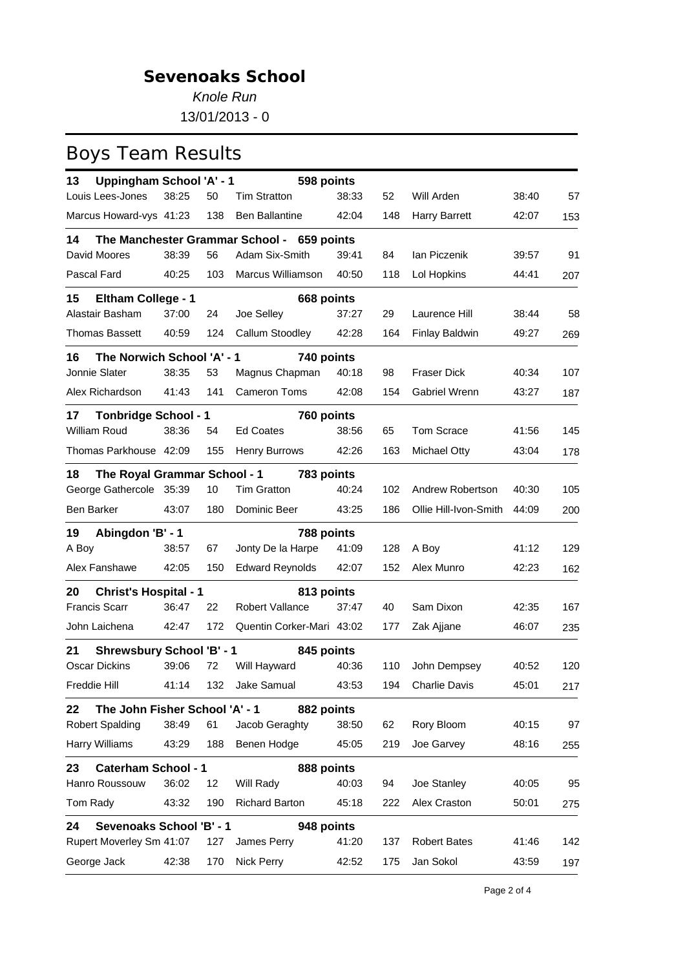*Knole Run*

13/01/2013 - 0

| Uppingham School 'A' - 1<br>13         |       |     | 598 points                                 |       |     |                       |       |     |
|----------------------------------------|-------|-----|--------------------------------------------|-------|-----|-----------------------|-------|-----|
| Louis Lees-Jones                       | 38:25 | 50  | <b>Tim Stratton</b>                        | 38:33 | 52  | Will Arden            | 38:40 | 57  |
| Marcus Howard-vys 41:23                |       | 138 | <b>Ben Ballantine</b>                      | 42:04 | 148 | <b>Harry Barrett</b>  | 42:07 | 153 |
| 14                                     |       |     | The Manchester Grammar School - 659 points |       |     |                       |       |     |
| David Moores                           | 38:39 | 56  | Adam Six-Smith                             | 39:41 | 84  | lan Piczenik          | 39:57 | 91  |
| Pascal Fard                            | 40:25 | 103 | Marcus Williamson                          | 40:50 | 118 | Lol Hopkins           | 44:41 | 207 |
| 15<br><b>Eltham College - 1</b>        |       |     | 668 points                                 |       |     |                       |       |     |
| Alastair Basham                        | 37:00 | 24  | Joe Selley                                 | 37:27 | 29  | Laurence Hill         | 38:44 | 58  |
| <b>Thomas Bassett</b>                  | 40:59 | 124 | Callum Stoodley                            | 42:28 | 164 | Finlay Baldwin        | 49:27 | 269 |
| The Norwich School 'A' - 1<br>16       |       |     | 740 points                                 |       |     |                       |       |     |
| Jonnie Slater                          | 38:35 | 53  | Magnus Chapman                             | 40:18 | 98  | <b>Fraser Dick</b>    | 40:34 | 107 |
| Alex Richardson                        | 41:43 | 141 | <b>Cameron Toms</b>                        | 42:08 | 154 | Gabriel Wrenn         | 43:27 | 187 |
| <b>Tonbridge School - 1</b><br>17      |       |     | 760 points                                 |       |     |                       |       |     |
| William Roud                           | 38:36 | 54  | <b>Ed Coates</b>                           | 38:56 | 65  | Tom Scrace            | 41:56 | 145 |
| Thomas Parkhouse 42:09                 |       | 155 | <b>Henry Burrows</b>                       | 42:26 | 163 | Michael Otty          | 43:04 | 178 |
| 18<br>The Royal Grammar School - 1     |       |     | 783 points                                 |       |     |                       |       |     |
| George Gathercole 35:39                |       | 10  | <b>Tim Gratton</b>                         | 40:24 | 102 | Andrew Robertson      | 40:30 | 105 |
| Ben Barker                             | 43:07 | 180 | Dominic Beer                               | 43:25 | 186 | Ollie Hill-Ivon-Smith | 44:09 | 200 |
| 19<br>Abingdon 'B' - 1                 |       |     | 788 points                                 |       |     |                       |       |     |
| A Boy                                  | 38:57 | 67  | Jonty De la Harpe                          | 41:09 | 128 | A Boy                 | 41:12 | 129 |
| Alex Fanshawe                          | 42:05 | 150 | <b>Edward Reynolds</b>                     | 42:07 | 152 | Alex Munro            | 42:23 | 162 |
| <b>Christ's Hospital - 1</b><br>20     |       |     | 813 points                                 |       |     |                       |       |     |
| <b>Francis Scarr</b>                   | 36:47 | 22  | Robert Vallance                            | 37:47 | 40  | Sam Dixon             | 42:35 | 167 |
| John Laichena                          | 42:47 | 172 | Quentin Corker-Mari 43:02                  |       | 177 | Zak Ajjane            | 46:07 | 235 |
| 21<br><b>Shrewsbury School 'B' - 1</b> |       |     | 845 points                                 |       |     |                       |       |     |
| <b>Oscar Dickins</b>                   | 39:06 | 72  | Will Hayward                               | 40:36 | 110 | John Dempsey          | 40:52 | 120 |
| Freddie Hill                           |       |     | 41:14 132 Jake Samual 43:53                |       |     | 194 Charlie Davis     | 45:01 | 217 |
| The John Fisher School 'A' - 1<br>22   |       |     | 882 points                                 |       |     |                       |       |     |
| <b>Robert Spalding</b>                 | 38:49 | 61  | Jacob Geraghty                             | 38:50 | 62  | Rory Bloom            | 40:15 | 97  |
| Harry Williams                         | 43:29 | 188 | Benen Hodge                                | 45:05 | 219 | Joe Garvey            | 48:16 | 255 |
| <b>Caterham School - 1</b><br>23       |       |     | 888 points                                 |       |     |                       |       |     |
| Hanro Roussouw                         | 36:02 | 12  | Will Rady                                  | 40:03 | 94  | Joe Stanley           | 40:05 | 95  |
| Tom Rady                               | 43:32 | 190 | <b>Richard Barton</b>                      | 45:18 | 222 | Alex Craston          | 50:01 | 275 |
| <b>Sevenoaks School 'B' - 1</b><br>24  |       |     | 948 points                                 |       |     |                       |       |     |
| Rupert Moverley Sm 41:07               |       | 127 | James Perry                                | 41:20 | 137 | <b>Robert Bates</b>   | 41:46 | 142 |
| George Jack                            | 42:38 | 170 | <b>Nick Perry</b>                          | 42:52 | 175 | Jan Sokol             | 43:59 | 197 |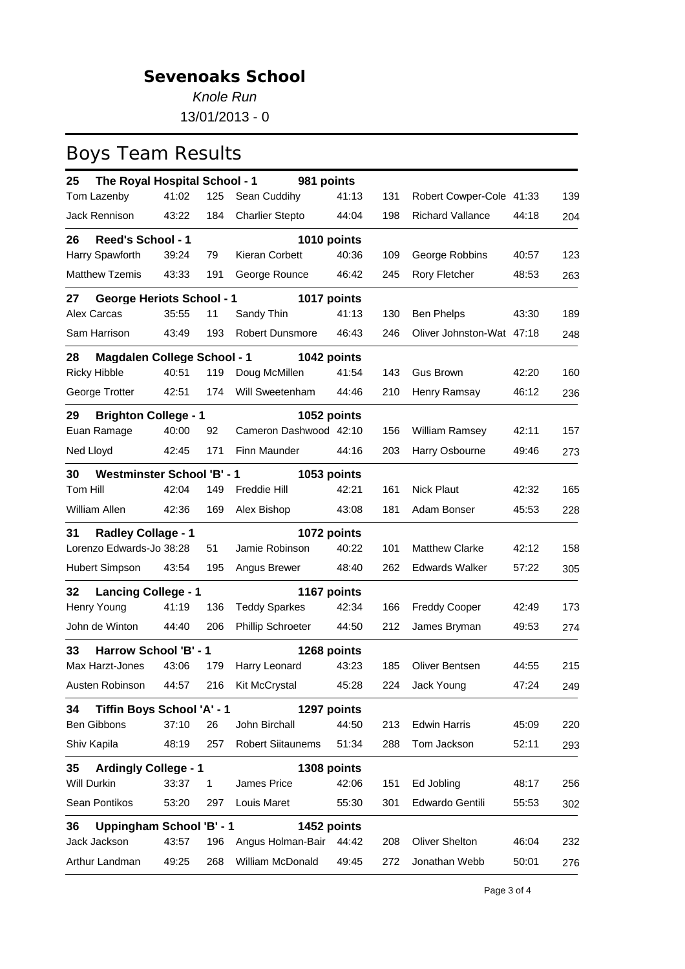*Knole Run* 13/01/2013 - 0

| The Royal Hospital School - 1<br>25      |       |     | 981 points               |       |     |                           |       |     |
|------------------------------------------|-------|-----|--------------------------|-------|-----|---------------------------|-------|-----|
| Tom Lazenby                              | 41:02 | 125 | Sean Cuddihy             | 41:13 | 131 | Robert Cowper-Cole 41:33  |       | 139 |
| Jack Rennison                            | 43:22 | 184 | <b>Charlier Stepto</b>   | 44:04 | 198 | Richard Vallance          | 44:18 | 204 |
| <b>Reed's School - 1</b><br>26           |       |     | 1010 points              |       |     |                           |       |     |
| Harry Spawforth                          | 39:24 | 79  | Kieran Corbett           | 40:36 | 109 | George Robbins            | 40:57 | 123 |
| <b>Matthew Tzemis</b>                    | 43:33 | 191 | George Rounce            | 46:42 | 245 | Rory Fletcher             | 48:53 | 263 |
| 27<br><b>George Heriots School - 1</b>   |       |     | 1017 points              |       |     |                           |       |     |
| Alex Carcas                              | 35:55 | 11  | Sandy Thin               | 41:13 | 130 | Ben Phelps                | 43:30 | 189 |
| Sam Harrison                             | 43:49 | 193 | Robert Dunsmore          | 46:43 | 246 | Oliver Johnston-Wat 47:18 |       | 248 |
| <b>Magdalen College School - 1</b><br>28 |       |     | 1042 points              |       |     |                           |       |     |
| <b>Ricky Hibble</b>                      | 40:51 | 119 | Doug McMillen            | 41:54 | 143 | <b>Gus Brown</b>          | 42:20 | 160 |
| George Trotter                           | 42:51 | 174 | Will Sweetenham          | 44:46 | 210 | Henry Ramsay              | 46:12 | 236 |
| <b>Brighton College - 1</b><br>29        |       |     | 1052 points              |       |     |                           |       |     |
| Euan Ramage                              | 40:00 | 92  | Cameron Dashwood 42:10   |       | 156 | William Ramsey            | 42:11 | 157 |
| Ned Lloyd                                | 42:45 | 171 | Finn Maunder             | 44:16 | 203 | Harry Osbourne            | 49:46 | 273 |
| 30<br><b>Westminster School 'B' - 1</b>  |       |     | 1053 points              |       |     |                           |       |     |
| Tom Hill                                 | 42:04 | 149 | Freddie Hill             | 42:21 | 161 | <b>Nick Plaut</b>         | 42:32 | 165 |
| William Allen                            | 42:36 | 169 | Alex Bishop              | 43:08 | 181 | Adam Bonser               | 45:53 | 228 |
| 31<br><b>Radley Collage - 1</b>          |       |     | 1072 points              |       |     |                           |       |     |
| Lorenzo Edwards-Jo 38:28                 |       | 51  | Jamie Robinson           | 40:22 | 101 | <b>Matthew Clarke</b>     | 42:12 | 158 |
| Hubert Simpson                           | 43:54 | 195 | Angus Brewer             | 48:40 | 262 | <b>Edwards Walker</b>     | 57:22 | 305 |
| <b>Lancing College - 1</b><br>32         |       |     | 1167 points              |       |     |                           |       |     |
| Henry Young                              | 41:19 | 136 | <b>Teddy Sparkes</b>     | 42:34 | 166 | <b>Freddy Cooper</b>      | 42:49 | 173 |
| John de Winton                           | 44:40 | 206 | <b>Phillip Schroeter</b> | 44:50 | 212 | James Bryman              | 49:53 | 274 |
| 33<br>Harrow School 'B' - 1              |       |     | 1268 points              |       |     |                           |       |     |
| Max Harzt-Jones                          | 43:06 | 179 | Harry Leonard            | 43:23 | 185 | Oliver Bentsen            | 44:55 | 215 |
| Austen Robinson 44:57                    |       |     | 216 Kit McCrystal 45:28  |       |     | 224 Jack Young            | 47:24 | 249 |
| Tiffin Boys School 'A' - 1<br>34         |       |     | 1297 points              |       |     |                           |       |     |
| <b>Ben Gibbons</b>                       | 37:10 | 26  | John Birchall            | 44:50 | 213 | <b>Edwin Harris</b>       | 45:09 | 220 |
| Shiv Kapila                              | 48:19 | 257 | <b>Robert Siitaunems</b> | 51:34 | 288 | Tom Jackson               | 52:11 | 293 |
| <b>Ardingly College - 1</b><br>35        |       |     | 1308 points              |       |     |                           |       |     |
| Will Durkin                              | 33:37 | 1   | James Price              | 42:06 | 151 | Ed Jobling                | 48:17 | 256 |
| Sean Pontikos                            | 53:20 | 297 | Louis Maret              | 55:30 | 301 | Edwardo Gentili           | 55:53 | 302 |
| Uppingham School 'B' - 1<br>36           |       |     | 1452 points              |       |     |                           |       |     |
| Jack Jackson                             | 43:57 | 196 | Angus Holman-Bair        | 44:42 | 208 | <b>Oliver Shelton</b>     | 46:04 | 232 |
| Arthur Landman                           | 49:25 | 268 | William McDonald         | 49:45 | 272 | Jonathan Webb             | 50:01 | 276 |